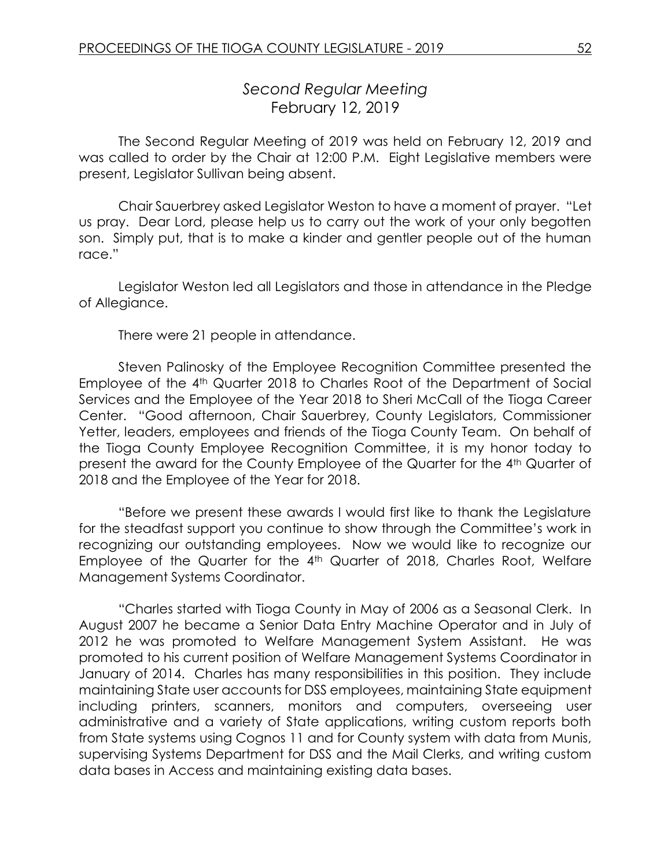# *Second Regular Meeting* February 12, 2019

The Second Regular Meeting of 2019 was held on February 12, 2019 and was called to order by the Chair at 12:00 P.M. Eight Legislative members were present, Legislator Sullivan being absent.

Chair Sauerbrey asked Legislator Weston to have a moment of prayer. "Let us pray. Dear Lord, please help us to carry out the work of your only begotten son. Simply put, that is to make a kinder and gentler people out of the human race."

Legislator Weston led all Legislators and those in attendance in the Pledge of Allegiance.

There were 21 people in attendance.

Steven Palinosky of the Employee Recognition Committee presented the Employee of the 4<sup>th</sup> Quarter 2018 to Charles Root of the Department of Social Services and the Employee of the Year 2018 to Sheri McCall of the Tioga Career Center. "Good afternoon, Chair Sauerbrey, County Legislators, Commissioner Yetter, leaders, employees and friends of the Tioga County Team. On behalf of the Tioga County Employee Recognition Committee, it is my honor today to present the award for the County Employee of the Quarter for the 4th Quarter of 2018 and the Employee of the Year for 2018.

"Before we present these awards I would first like to thank the Legislature for the steadfast support you continue to show through the Committee's work in recognizing our outstanding employees. Now we would like to recognize our Employee of the Quarter for the 4<sup>th</sup> Quarter of 2018, Charles Root, Welfare Management Systems Coordinator.

"Charles started with Tioga County in May of 2006 as a Seasonal Clerk. In August 2007 he became a Senior Data Entry Machine Operator and in July of 2012 he was promoted to Welfare Management System Assistant. He was promoted to his current position of Welfare Management Systems Coordinator in January of 2014. Charles has many responsibilities in this position. They include maintaining State user accounts for DSS employees, maintaining State equipment including printers, scanners, monitors and computers, overseeing user administrative and a variety of State applications, writing custom reports both from State systems using Cognos 11 and for County system with data from Munis, supervising Systems Department for DSS and the Mail Clerks, and writing custom data bases in Access and maintaining existing data bases.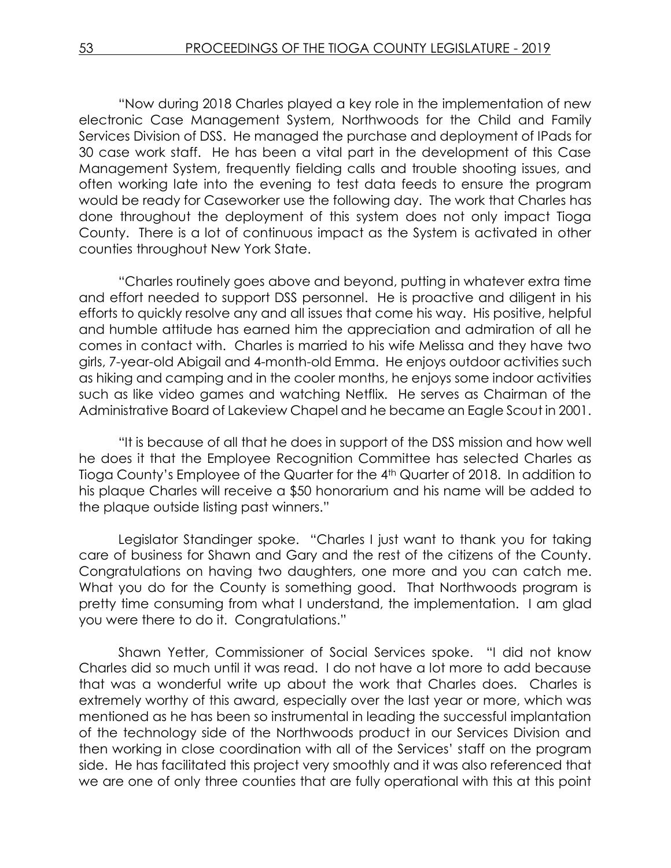"Now during 2018 Charles played a key role in the implementation of new electronic Case Management System, Northwoods for the Child and Family Services Division of DSS. He managed the purchase and deployment of IPads for 30 case work staff. He has been a vital part in the development of this Case Management System, frequently fielding calls and trouble shooting issues, and often working late into the evening to test data feeds to ensure the program would be ready for Caseworker use the following day. The work that Charles has done throughout the deployment of this system does not only impact Tioga County. There is a lot of continuous impact as the System is activated in other counties throughout New York State.

"Charles routinely goes above and beyond, putting in whatever extra time and effort needed to support DSS personnel. He is proactive and diligent in his efforts to quickly resolve any and all issues that come his way. His positive, helpful and humble attitude has earned him the appreciation and admiration of all he comes in contact with. Charles is married to his wife Melissa and they have two girls, 7-year-old Abigail and 4-month-old Emma. He enjoys outdoor activities such as hiking and camping and in the cooler months, he enjoys some indoor activities such as like video games and watching Netflix. He serves as Chairman of the Administrative Board of Lakeview Chapel and he became an Eagle Scout in 2001.

"It is because of all that he does in support of the DSS mission and how well he does it that the Employee Recognition Committee has selected Charles as Tioga County's Employee of the Quarter for the 4<sup>th</sup> Quarter of 2018. In addition to his plaque Charles will receive a \$50 honorarium and his name will be added to the plaque outside listing past winners."

Legislator Standinger spoke. "Charles I just want to thank you for taking care of business for Shawn and Gary and the rest of the citizens of the County. Congratulations on having two daughters, one more and you can catch me. What you do for the County is something good. That Northwoods program is pretty time consuming from what I understand, the implementation. I am glad you were there to do it. Congratulations."

Shawn Yetter, Commissioner of Social Services spoke. "I did not know Charles did so much until it was read. I do not have a lot more to add because that was a wonderful write up about the work that Charles does. Charles is extremely worthy of this award, especially over the last year or more, which was mentioned as he has been so instrumental in leading the successful implantation of the technology side of the Northwoods product in our Services Division and then working in close coordination with all of the Services' staff on the program side. He has facilitated this project very smoothly and it was also referenced that we are one of only three counties that are fully operational with this at this point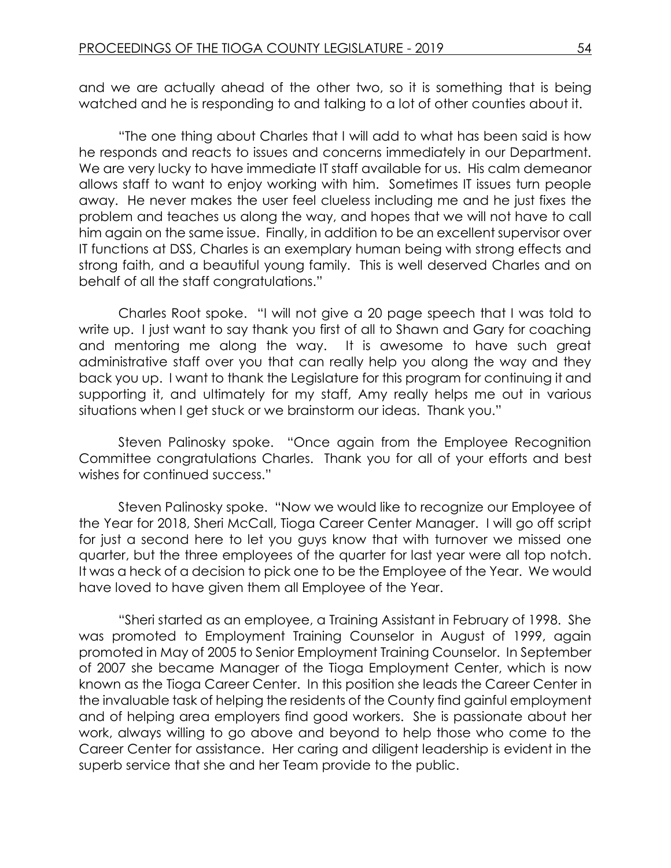and we are actually ahead of the other two, so it is something that is being watched and he is responding to and talking to a lot of other counties about it.

"The one thing about Charles that I will add to what has been said is how he responds and reacts to issues and concerns immediately in our Department. We are very lucky to have immediate IT staff available for us. His calm demeanor allows staff to want to enjoy working with him. Sometimes IT issues turn people away. He never makes the user feel clueless including me and he just fixes the problem and teaches us along the way, and hopes that we will not have to call him again on the same issue. Finally, in addition to be an excellent supervisor over IT functions at DSS, Charles is an exemplary human being with strong effects and strong faith, and a beautiful young family. This is well deserved Charles and on behalf of all the staff congratulations."

Charles Root spoke. "I will not give a 20 page speech that I was told to write up. I just want to say thank you first of all to Shawn and Gary for coaching and mentoring me along the way. It is awesome to have such great administrative staff over you that can really help you along the way and they back you up. I want to thank the Legislature for this program for continuing it and supporting it, and ultimately for my staff, Amy really helps me out in various situations when I get stuck or we brainstorm our ideas. Thank you."

Steven Palinosky spoke. "Once again from the Employee Recognition Committee congratulations Charles. Thank you for all of your efforts and best wishes for continued success."

Steven Palinosky spoke. "Now we would like to recognize our Employee of the Year for 2018, Sheri McCall, Tioga Career Center Manager. I will go off script for just a second here to let you guys know that with turnover we missed one quarter, but the three employees of the quarter for last year were all top notch. It was a heck of a decision to pick one to be the Employee of the Year. We would have loved to have given them all Employee of the Year.

"Sheri started as an employee, a Training Assistant in February of 1998. She was promoted to Employment Training Counselor in August of 1999, again promoted in May of 2005 to Senior Employment Training Counselor. In September of 2007 she became Manager of the Tioga Employment Center, which is now known as the Tioga Career Center. In this position she leads the Career Center in the invaluable task of helping the residents of the County find gainful employment and of helping area employers find good workers. She is passionate about her work, always willing to go above and beyond to help those who come to the Career Center for assistance. Her caring and diligent leadership is evident in the superb service that she and her Team provide to the public.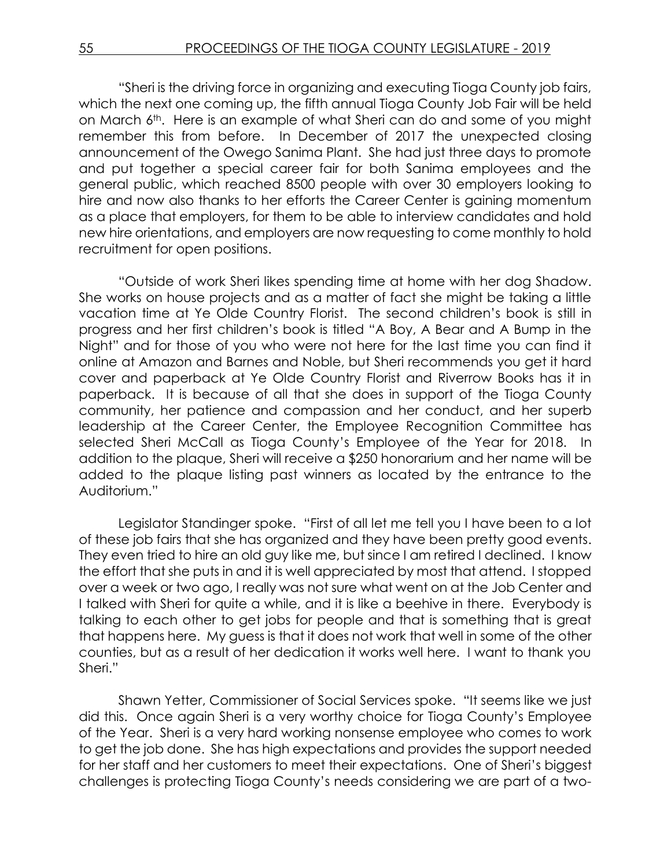"Sheri is the driving force in organizing and executing Tioga County job fairs, which the next one coming up, the fifth annual Tioga County Job Fair will be held on March 6th. Here is an example of what Sheri can do and some of you might remember this from before. In December of 2017 the unexpected closing announcement of the Owego Sanima Plant. She had just three days to promote and put together a special career fair for both Sanima employees and the general public, which reached 8500 people with over 30 employers looking to hire and now also thanks to her efforts the Career Center is gaining momentum as a place that employers, for them to be able to interview candidates and hold new hire orientations, and employers are now requesting to come monthly to hold recruitment for open positions.

"Outside of work Sheri likes spending time at home with her dog Shadow. She works on house projects and as a matter of fact she might be taking a little vacation time at Ye Olde Country Florist. The second children's book is still in progress and her first children's book is titled "A Boy, A Bear and A Bump in the Night" and for those of you who were not here for the last time you can find it online at Amazon and Barnes and Noble, but Sheri recommends you get it hard cover and paperback at Ye Olde Country Florist and Riverrow Books has it in paperback. It is because of all that she does in support of the Tioga County community, her patience and compassion and her conduct, and her superb leadership at the Career Center, the Employee Recognition Committee has selected Sheri McCall as Tioga County's Employee of the Year for 2018. In addition to the plaque, Sheri will receive a \$250 honorarium and her name will be added to the plaque listing past winners as located by the entrance to the Auditorium."

Legislator Standinger spoke. "First of all let me tell you I have been to a lot of these job fairs that she has organized and they have been pretty good events. They even tried to hire an old guy like me, but since I am retired I declined. I know the effort that she puts in and it is well appreciated by most that attend. I stopped over a week or two ago, I really was not sure what went on at the Job Center and I talked with Sheri for quite a while, and it is like a beehive in there. Everybody is talking to each other to get jobs for people and that is something that is great that happens here. My guess is that it does not work that well in some of the other counties, but as a result of her dedication it works well here. I want to thank you Sheri."

Shawn Yetter, Commissioner of Social Services spoke. "It seems like we just did this. Once again Sheri is a very worthy choice for Tioga County's Employee of the Year. Sheri is a very hard working nonsense employee who comes to work to get the job done. She has high expectations and provides the support needed for her staff and her customers to meet their expectations. One of Sheri's biggest challenges is protecting Tioga County's needs considering we are part of a two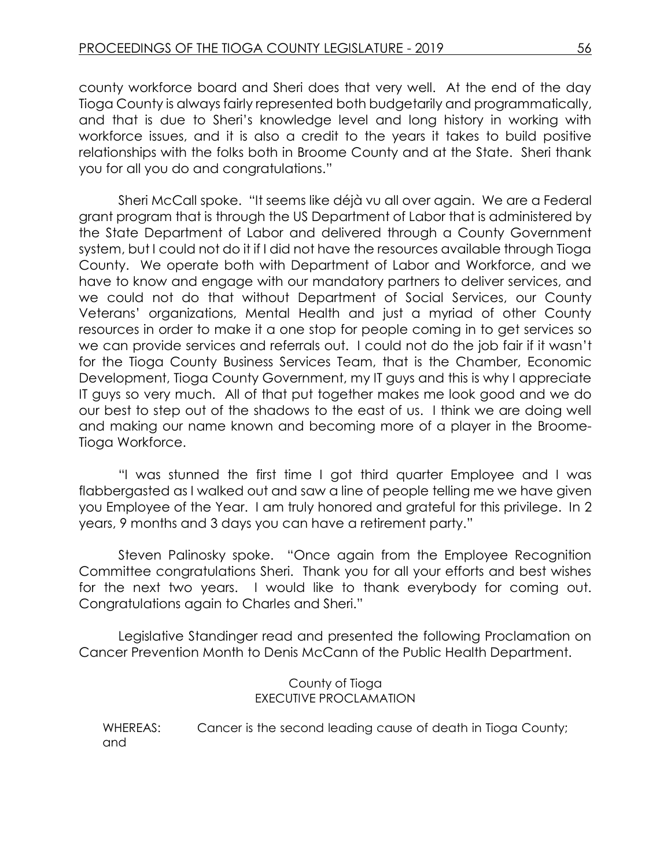county workforce board and Sheri does that very well. At the end of the day Tioga County is always fairly represented both budgetarily and programmatically, and that is due to Sheri's knowledge level and long history in working with workforce issues, and it is also a credit to the years it takes to build positive relationships with the folks both in Broome County and at the State. Sheri thank you for all you do and congratulations."

Sheri McCall spoke. "It seems like déjà vu all over again. We are a Federal grant program that is through the US Department of Labor that is administered by the State Department of Labor and delivered through a County Government system, but I could not do it if I did not have the resources available through Tioga County. We operate both with Department of Labor and Workforce, and we have to know and engage with our mandatory partners to deliver services, and we could not do that without Department of Social Services, our County Veterans' organizations, Mental Health and just a myriad of other County resources in order to make it a one stop for people coming in to get services so we can provide services and referrals out. I could not do the job fair if it wasn't for the Tioga County Business Services Team, that is the Chamber, Economic Development, Tioga County Government, my IT guys and this is why I appreciate IT guys so very much. All of that put together makes me look good and we do our best to step out of the shadows to the east of us. I think we are doing well and making our name known and becoming more of a player in the Broome-Tioga Workforce.

"I was stunned the first time I got third quarter Employee and I was flabbergasted as I walked out and saw a line of people telling me we have given you Employee of the Year. I am truly honored and grateful for this privilege. In 2 years, 9 months and 3 days you can have a retirement party."

Steven Palinosky spoke. "Once again from the Employee Recognition Committee congratulations Sheri. Thank you for all your efforts and best wishes for the next two years. I would like to thank everybody for coming out. Congratulations again to Charles and Sheri."

Legislative Standinger read and presented the following Proclamation on Cancer Prevention Month to Denis McCann of the Public Health Department.

> County of Tioga EXECUTIVE PROCLAMATION

WHEREAS: Cancer is the second leading cause of death in Tioga County; and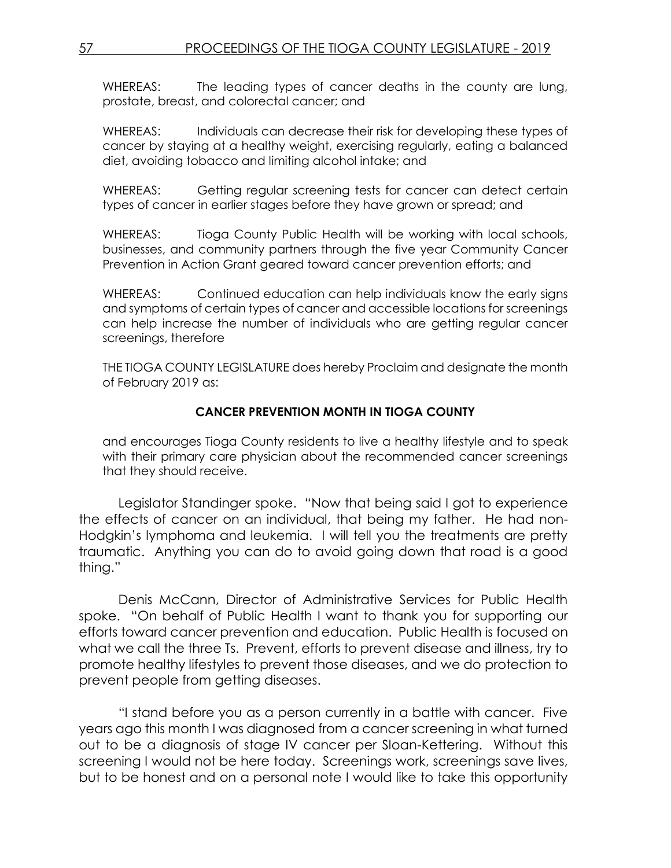WHEREAS: The leading types of cancer deaths in the county are lung, prostate, breast, and colorectal cancer; and

WHEREAS: Individuals can decrease their risk for developing these types of cancer by staying at a healthy weight, exercising regularly, eating a balanced diet, avoiding tobacco and limiting alcohol intake; and

WHEREAS: Getting regular screening tests for cancer can detect certain types of cancer in earlier stages before they have grown or spread; and

WHEREAS: Tioga County Public Health will be working with local schools, businesses, and community partners through the five year Community Cancer Prevention in Action Grant geared toward cancer prevention efforts; and

WHEREAS: Continued education can help individuals know the early signs and symptoms of certain types of cancer and accessible locations for screenings can help increase the number of individuals who are getting regular cancer screenings, therefore

THE TIOGA COUNTY LEGISLATURE does hereby Proclaim and designate the month of February 2019 as:

### **CANCER PREVENTION MONTH IN TIOGA COUNTY**

and encourages Tioga County residents to live a healthy lifestyle and to speak with their primary care physician about the recommended cancer screenings that they should receive.

Legislator Standinger spoke. "Now that being said I got to experience the effects of cancer on an individual, that being my father. He had non-Hodgkin's lymphoma and leukemia. I will tell you the treatments are pretty traumatic. Anything you can do to avoid going down that road is a good thing."

Denis McCann, Director of Administrative Services for Public Health spoke. "On behalf of Public Health I want to thank you for supporting our efforts toward cancer prevention and education. Public Health is focused on what we call the three Ts. Prevent, efforts to prevent disease and illness, try to promote healthy lifestyles to prevent those diseases, and we do protection to prevent people from getting diseases.

"I stand before you as a person currently in a battle with cancer. Five years ago this month I was diagnosed from a cancer screening in what turned out to be a diagnosis of stage IV cancer per Sloan-Kettering. Without this screening I would not be here today. Screenings work, screenings save lives, but to be honest and on a personal note I would like to take this opportunity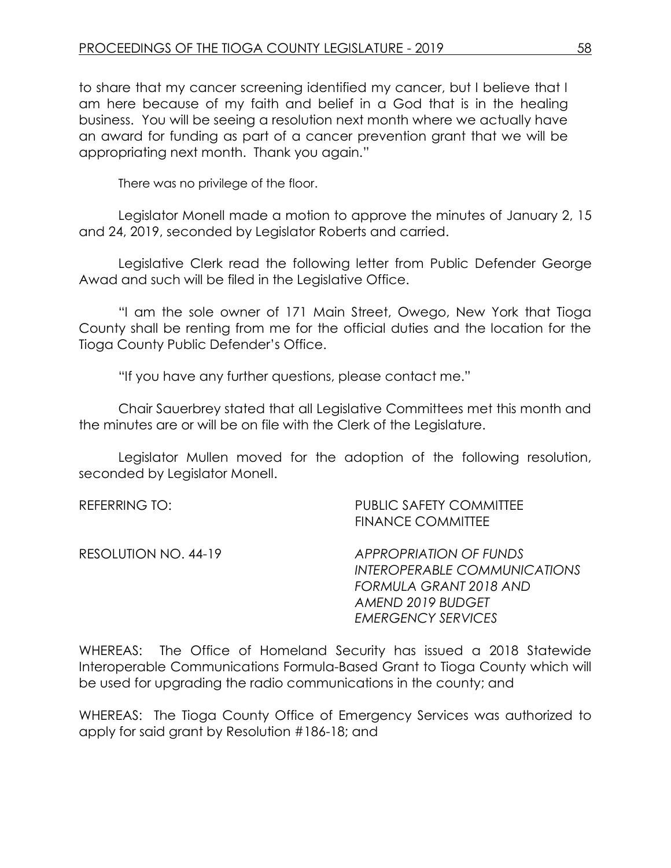to share that my cancer screening identified my cancer, but I believe that I am here because of my faith and belief in a God that is in the healing business. You will be seeing a resolution next month where we actually have an award for funding as part of a cancer prevention grant that we will be appropriating next month. Thank you again."

There was no privilege of the floor.

Legislator Monell made a motion to approve the minutes of January 2, 15 and 24, 2019, seconded by Legislator Roberts and carried.

Legislative Clerk read the following letter from Public Defender George Awad and such will be filed in the Legislative Office.

"I am the sole owner of 171 Main Street, Owego, New York that Tioga County shall be renting from me for the official duties and the location for the Tioga County Public Defender's Office.

"If you have any further questions, please contact me."

Chair Sauerbrey stated that all Legislative Committees met this month and the minutes are or will be on file with the Clerk of the Legislature.

Legislator Mullen moved for the adoption of the following resolution, seconded by Legislator Monell.

| REFERRING TO:        | <b>PUBLIC SAFETY COMMITTEE</b><br><b>FINANCE COMMITTEE</b>                                                                                |
|----------------------|-------------------------------------------------------------------------------------------------------------------------------------------|
| RESOLUTION NO. 44-19 | <b>APPROPRIATION OF FUNDS</b><br>INTEROPERABLE COMMUNICATIONS<br>FORMULA GRANT 2018 AND<br>AMEND 2019 BUDGET<br><b>EMERGENCY SERVICES</b> |

WHEREAS: The Office of Homeland Security has issued a 2018 Statewide Interoperable Communications Formula-Based Grant to Tioga County which will be used for upgrading the radio communications in the county; and

WHEREAS: The Tioga County Office of Emergency Services was authorized to apply for said grant by Resolution #186-18; and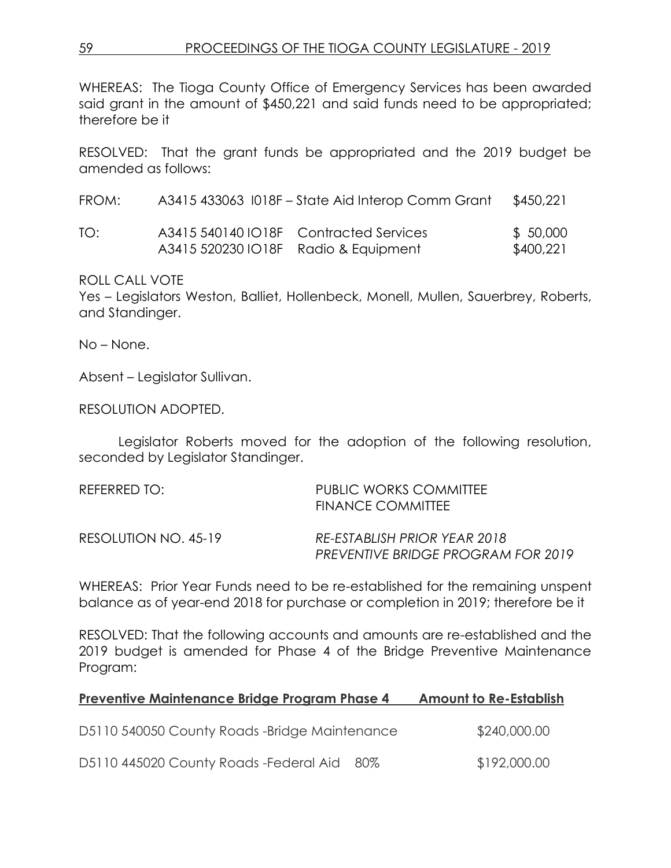WHEREAS: The Tioga County Office of Emergency Services has been awarded said grant in the amount of \$450,221 and said funds need to be appropriated; therefore be it

RESOLVED: That the grant funds be appropriated and the 2019 budget be amended as follows:

| FROM: | A3415 433063 I018F – State Aid Interop Comm Grant | \$450,221 |
|-------|---------------------------------------------------|-----------|
| TO:   | A3415 540140 IO18F Contracted Services            | \$ 50,000 |
|       | A3415 520230 IO18F Radio & Equipment              | \$400,221 |

ROLL CALL VOTE

Yes – Legislators Weston, Balliet, Hollenbeck, Monell, Mullen, Sauerbrey, Roberts, and Standinger.

No – None.

Absent – Legislator Sullivan.

RESOLUTION ADOPTED.

Legislator Roberts moved for the adoption of the following resolution, seconded by Legislator Standinger.

| REFERRED TO:         | PUBLIC WORKS COMMITTEE<br><b>FINANCE COMMITTEE</b>                        |
|----------------------|---------------------------------------------------------------------------|
| RESOLUTION NO. 45-19 | RE-ESTABLISH PRIOR YEAR 2018<br><b>PREVENTIVE BRIDGE PROGRAM FOR 2019</b> |

WHEREAS: Prior Year Funds need to be re-established for the remaining unspent balance as of year-end 2018 for purchase or completion in 2019; therefore be it

RESOLVED: That the following accounts and amounts are re-established and the 2019 budget is amended for Phase 4 of the Bridge Preventive Maintenance Program:

| <b>Preventive Maintenance Bridge Program Phase 4</b> | <b>Amount to Re-Establish</b> |
|------------------------------------------------------|-------------------------------|
| D5110 540050 County Roads -Bridge Maintenance        | \$240,000.00                  |
| D5110 445020 County Roads - Federal Aid<br>80%       | \$192,000.00                  |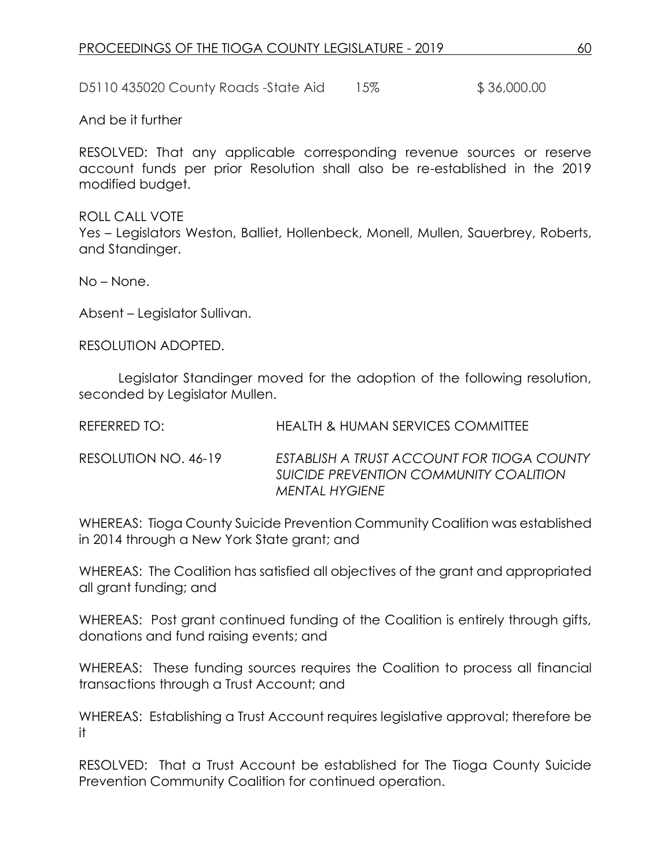D5110 435020 County Roads -State Aid 15% \$ 36,000.00

And be it further

RESOLVED: That any applicable corresponding revenue sources or reserve account funds per prior Resolution shall also be re-established in the 2019 modified budget.

ROLL CALL VOTE Yes – Legislators Weston, Balliet, Hollenbeck, Monell, Mullen, Sauerbrey, Roberts, and Standinger.

No – None.

Absent – Legislator Sullivan.

RESOLUTION ADOPTED.

Legislator Standinger moved for the adoption of the following resolution, seconded by Legislator Mullen.

| <b>REFERRED TO:</b> | <b>HEALTH &amp; HUMAN SERVICES COMMITTEE</b> |
|---------------------|----------------------------------------------|
|                     |                                              |

RESOLUTION NO. 46-19 *ESTABLISH A TRUST ACCOUNT FOR TIOGA COUNTY SUICIDE PREVENTION COMMUNITY COALITION MENTAL HYGIENE*

WHEREAS: Tioga County Suicide Prevention Community Coalition was established in 2014 through a New York State grant; and

WHEREAS: The Coalition has satisfied all objectives of the grant and appropriated all grant funding; and

WHEREAS: Post grant continued funding of the Coalition is entirely through gifts, donations and fund raising events; and

WHEREAS: These funding sources requires the Coalition to process all financial transactions through a Trust Account; and

WHEREAS: Establishing a Trust Account requires legislative approval; therefore be it

RESOLVED: That a Trust Account be established for The Tioga County Suicide Prevention Community Coalition for continued operation.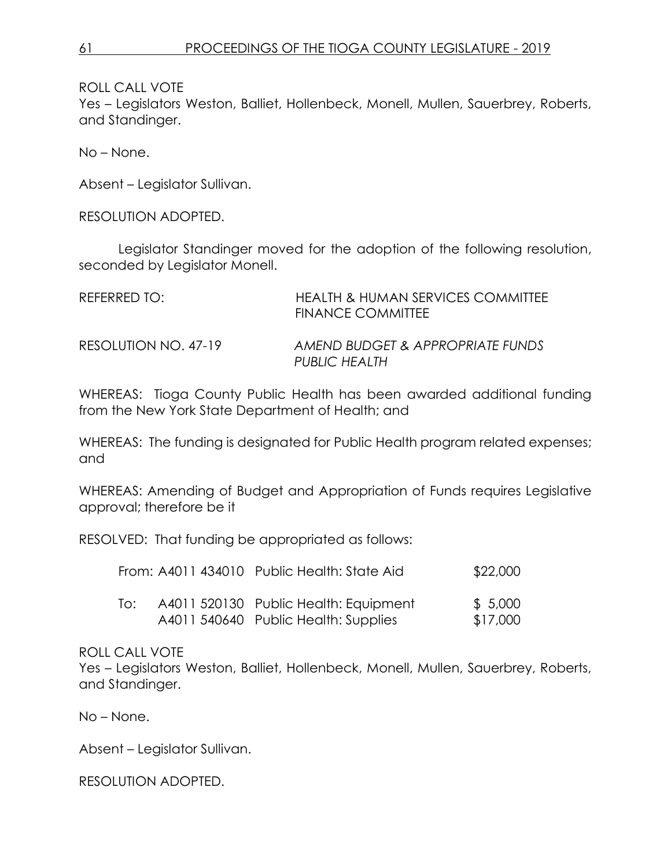Yes – Legislators Weston, Balliet, Hollenbeck, Monell, Mullen, Sauerbrey, Roberts, and Standinger.

No – None.

Absent – Legislator Sullivan.

RESOLUTION ADOPTED.

Legislator Standinger moved for the adoption of the following resolution, seconded by Legislator Monell.

| REFERRED TO:         | HEALTH & HUMAN SERVICES COMMITTEE<br><b>FINANCE COMMITTEE</b> |
|----------------------|---------------------------------------------------------------|
| RESOLUTION NO. 47-19 | AMEND BUDGET & APPROPRIATE FUNDS<br>PUBLIC HEALTH             |

WHEREAS: Tioga County Public Health has been awarded additional funding from the New York State Department of Health; and

WHEREAS: The funding is designated for Public Health program related expenses; and

WHEREAS: Amending of Budget and Appropriation of Funds requires Legislative approval; therefore be it

RESOLVED: That funding be appropriated as follows:

|     | From: A4011 434010 Public Health: State Aid                                   | \$22,000            |
|-----|-------------------------------------------------------------------------------|---------------------|
| ിറ: | A4011 520130 Public Health: Equipment<br>A4011 540640 Public Health: Supplies | \$5,000<br>\$17,000 |

#### ROLL CALL VOTE

Yes – Legislators Weston, Balliet, Hollenbeck, Monell, Mullen, Sauerbrey, Roberts, and Standinger.

No – None.

Absent – Legislator Sullivan.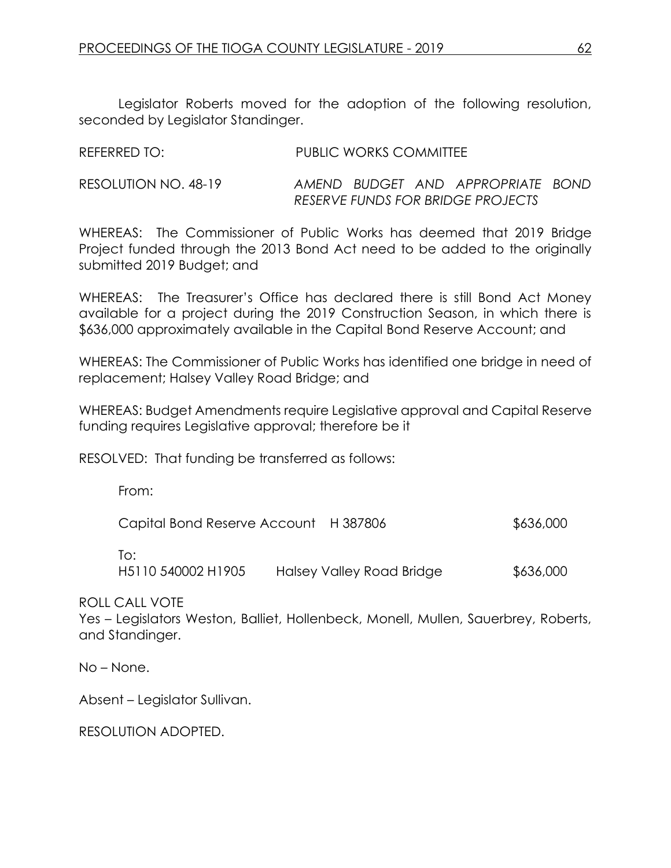Legislator Roberts moved for the adoption of the following resolution, seconded by Legislator Standinger.

| REFERRED TO:         | <b>PUBLIC WORKS COMMITTEE</b>     |
|----------------------|-----------------------------------|
| RESOLUTION NO. 48-19 | AMEND BUDGET AND APPROPRIATE BOND |
|                      | RESERVE FUNDS FOR BRIDGE PROJECTS |

WHEREAS: The Commissioner of Public Works has deemed that 2019 Bridge Project funded through the 2013 Bond Act need to be added to the originally submitted 2019 Budget; and

WHEREAS: The Treasurer's Office has declared there is still Bond Act Money available for a project during the 2019 Construction Season, in which there is \$636,000 approximately available in the Capital Bond Reserve Account; and

WHEREAS: The Commissioner of Public Works has identified one bridge in need of replacement; Halsey Valley Road Bridge; and

WHEREAS: Budget Amendments require Legislative approval and Capital Reserve funding requires Legislative approval; therefore be it

RESOLVED: That funding be transferred as follows:

From:

| Capital Bond Reserve Account H 387806 |                           | \$636,000 |
|---------------------------------------|---------------------------|-----------|
| To:                                   |                           |           |
| H5110 540002 H1905                    | Halsey Valley Road Bridge | \$636,000 |

ROLL CALL VOTE

Yes – Legislators Weston, Balliet, Hollenbeck, Monell, Mullen, Sauerbrey, Roberts, and Standinger.

No – None.

Absent – Legislator Sullivan.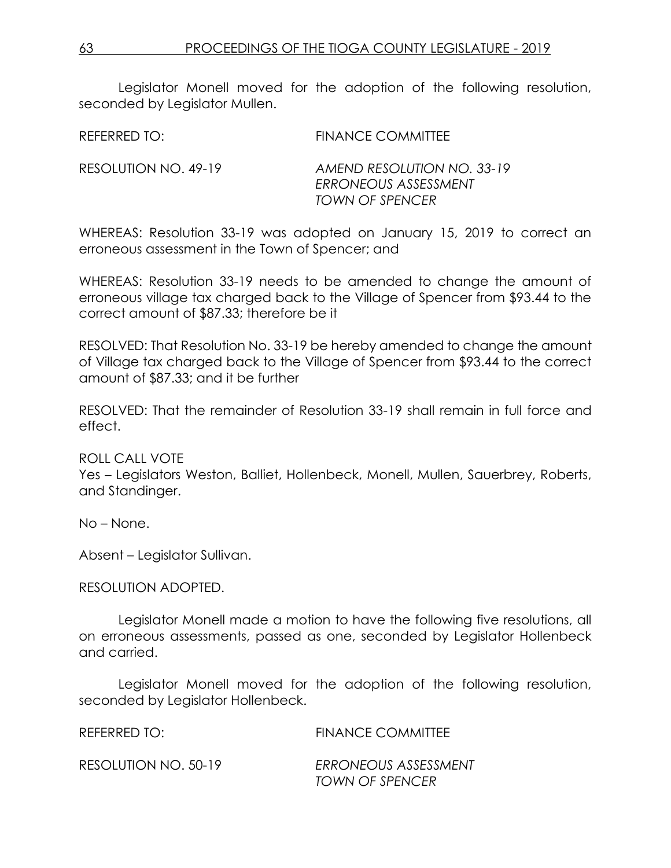Legislator Monell moved for the adoption of the following resolution, seconded by Legislator Mullen.

| REFERRED TO:         | FINANCE COMMITTEE                                                            |
|----------------------|------------------------------------------------------------------------------|
| RESOLUTION NO. 49-19 | AMEND RESOLUTION NO. 33-19<br>ERRONEOUS ASSESSMENT<br><b>TOWN OF SPENCER</b> |

WHEREAS: Resolution 33-19 was adopted on January 15, 2019 to correct an erroneous assessment in the Town of Spencer; and

WHEREAS: Resolution 33-19 needs to be amended to change the amount of erroneous village tax charged back to the Village of Spencer from \$93.44 to the correct amount of \$87.33; therefore be it

RESOLVED: That Resolution No. 33-19 be hereby amended to change the amount of Village tax charged back to the Village of Spencer from \$93.44 to the correct amount of \$87.33; and it be further

RESOLVED: That the remainder of Resolution 33-19 shall remain in full force and effect.

ROLL CALL VOTE

Yes – Legislators Weston, Balliet, Hollenbeck, Monell, Mullen, Sauerbrey, Roberts, and Standinger.

No – None.

Absent – Legislator Sullivan.

RESOLUTION ADOPTED.

Legislator Monell made a motion to have the following five resolutions, all on erroneous assessments, passed as one, seconded by Legislator Hollenbeck and carried.

Legislator Monell moved for the adoption of the following resolution, seconded by Legislator Hollenbeck.

| REFERRED TO:         | <b>FINANCE COMMITTEE</b> |
|----------------------|--------------------------|
| RESOLUTION NO. 50-19 | ERRONEOUS ASSESSMENT     |
|                      | TOWN OF SPENCER          |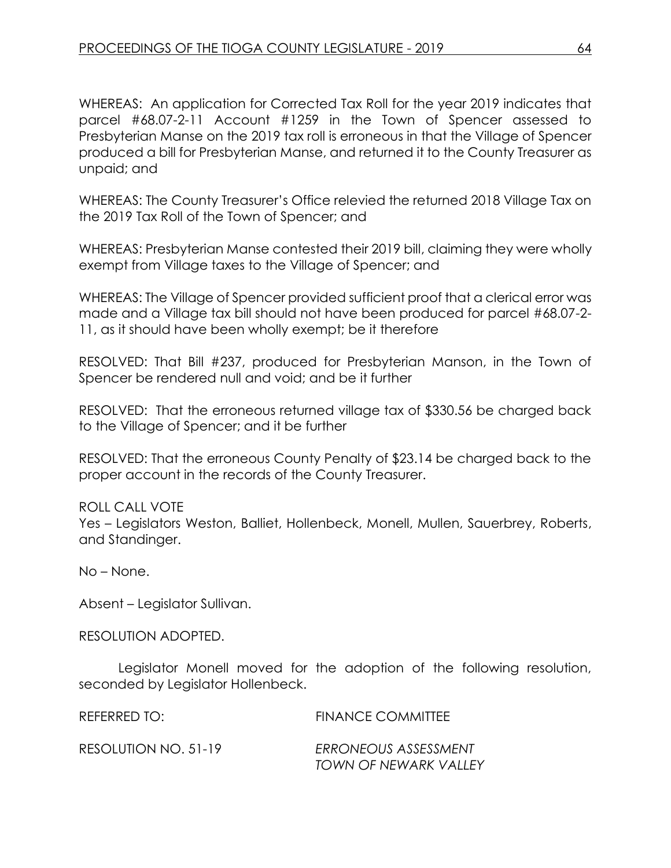WHEREAS: An application for Corrected Tax Roll for the year 2019 indicates that parcel #68.07-2-11 Account #1259 in the Town of Spencer assessed to Presbyterian Manse on the 2019 tax roll is erroneous in that the Village of Spencer produced a bill for Presbyterian Manse, and returned it to the County Treasurer as unpaid; and

WHEREAS: The County Treasurer's Office relevied the returned 2018 Village Tax on the 2019 Tax Roll of the Town of Spencer; and

WHEREAS: Presbyterian Manse contested their 2019 bill, claiming they were wholly exempt from Village taxes to the Village of Spencer; and

WHEREAS: The Village of Spencer provided sufficient proof that a clerical error was made and a Village tax bill should not have been produced for parcel #68.07-2- 11, as it should have been wholly exempt; be it therefore

RESOLVED: That Bill #237, produced for Presbyterian Manson, in the Town of Spencer be rendered null and void; and be it further

RESOLVED: That the erroneous returned village tax of \$330.56 be charged back to the Village of Spencer; and it be further

RESOLVED: That the erroneous County Penalty of \$23.14 be charged back to the proper account in the records of the County Treasurer.

ROLL CALL VOTE Yes – Legislators Weston, Balliet, Hollenbeck, Monell, Mullen, Sauerbrey, Roberts, and Standinger.

No – None.

Absent – Legislator Sullivan.

RESOLUTION ADOPTED.

Legislator Monell moved for the adoption of the following resolution, seconded by Legislator Hollenbeck.

REFERRED TO: FINANCE COMMITTEE

RESOLUTION NO. 51-19 *ERRONEOUS ASSESSMENT*

*TOWN OF NEWARK VALLEY*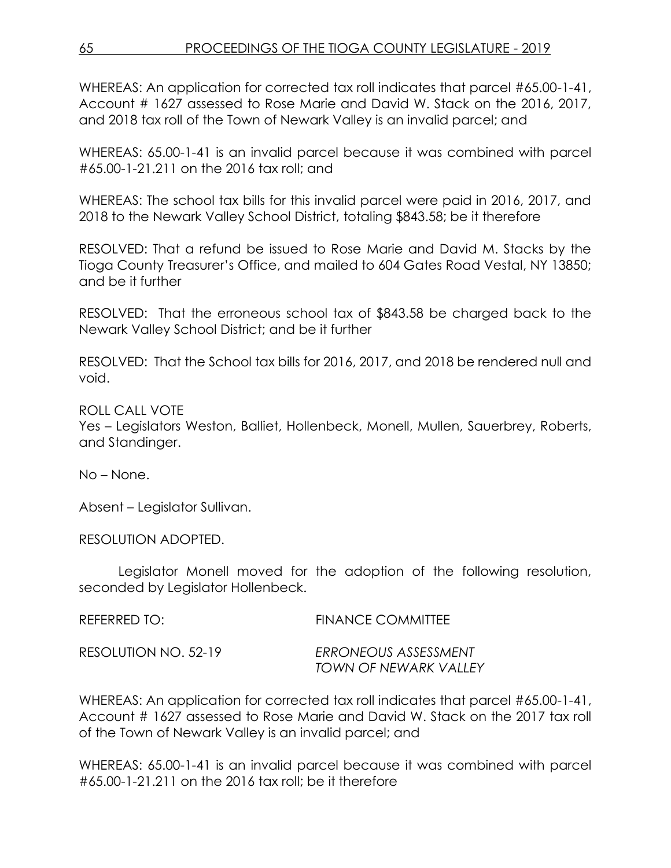WHEREAS: An application for corrected tax roll indicates that parcel #65.00-1-41, Account # 1627 assessed to Rose Marie and David W. Stack on the 2016, 2017, and 2018 tax roll of the Town of Newark Valley is an invalid parcel; and

WHEREAS: 65.00-1-41 is an invalid parcel because it was combined with parcel #65.00-1-21.211 on the 2016 tax roll; and

WHEREAS: The school tax bills for this invalid parcel were paid in 2016, 2017, and 2018 to the Newark Valley School District, totaling \$843.58; be it therefore

RESOLVED: That a refund be issued to Rose Marie and David M. Stacks by the Tioga County Treasurer's Office, and mailed to 604 Gates Road Vestal, NY 13850; and be it further

RESOLVED: That the erroneous school tax of \$843.58 be charged back to the Newark Valley School District; and be it further

RESOLVED: That the School tax bills for 2016, 2017, and 2018 be rendered null and void.

ROLL CALL VOTE

Yes – Legislators Weston, Balliet, Hollenbeck, Monell, Mullen, Sauerbrey, Roberts, and Standinger.

No – None.

Absent – Legislator Sullivan.

RESOLUTION ADOPTED.

Legislator Monell moved for the adoption of the following resolution, seconded by Legislator Hollenbeck.

| REFERRED TO:         | <b>FINANCE COMMITTEE</b>                      |
|----------------------|-----------------------------------------------|
| RESOLUTION NO. 52-19 | ERRONEOUS ASSESSMENT<br>TOWN OF NEWARK VALLEY |

WHEREAS: An application for corrected tax roll indicates that parcel #65.00-1-41, Account # 1627 assessed to Rose Marie and David W. Stack on the 2017 tax roll of the Town of Newark Valley is an invalid parcel; and

WHEREAS: 65.00-1-41 is an invalid parcel because it was combined with parcel #65.00-1-21.211 on the 2016 tax roll; be it therefore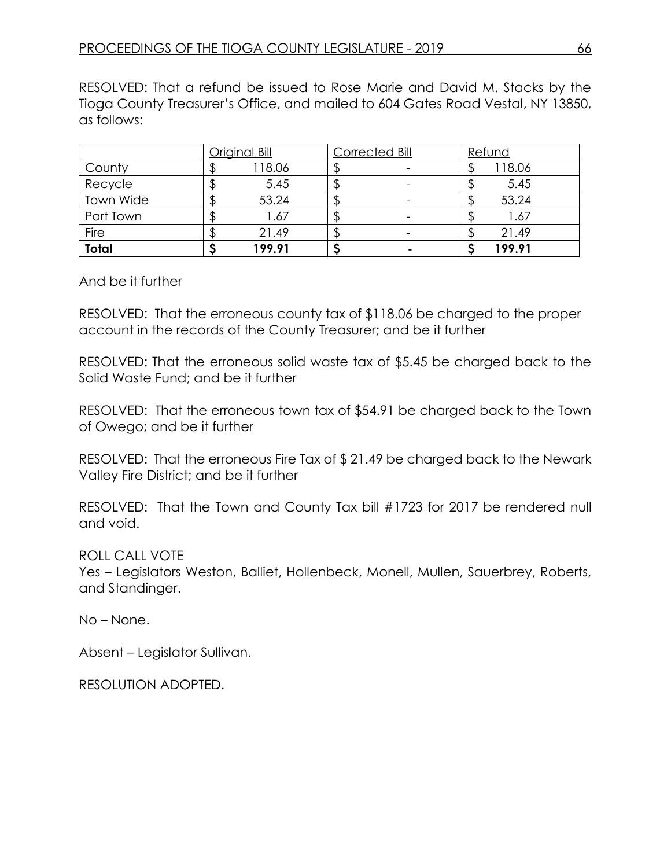RESOLVED: That a refund be issued to Rose Marie and David M. Stacks by the Tioga County Treasurer's Office, and mailed to 604 Gates Road Vestal, NY 13850, as follows:

|              | Original Bill | Corrected Bill | Refund |
|--------------|---------------|----------------|--------|
| County       | 118.06        |                | 118.06 |
| Recycle      | 5.45          |                | 5.45   |
| Town Wide    | 53.24         |                | 53.24  |
| Part Town    | 1.67          |                | 1.67   |
| Fire         | 21.49         |                | 21.49  |
| <b>Total</b> | 199.91        |                | 199.91 |

#### And be it further

RESOLVED: That the erroneous county tax of \$118.06 be charged to the proper account in the records of the County Treasurer; and be it further

RESOLVED: That the erroneous solid waste tax of \$5.45 be charged back to the Solid Waste Fund; and be it further

RESOLVED: That the erroneous town tax of \$54.91 be charged back to the Town of Owego; and be it further

RESOLVED: That the erroneous Fire Tax of \$ 21.49 be charged back to the Newark Valley Fire District; and be it further

RESOLVED: That the Town and County Tax bill #1723 for 2017 be rendered null and void.

ROLL CALL VOTE

Yes – Legislators Weston, Balliet, Hollenbeck, Monell, Mullen, Sauerbrey, Roberts, and Standinger.

No – None.

Absent – Legislator Sullivan.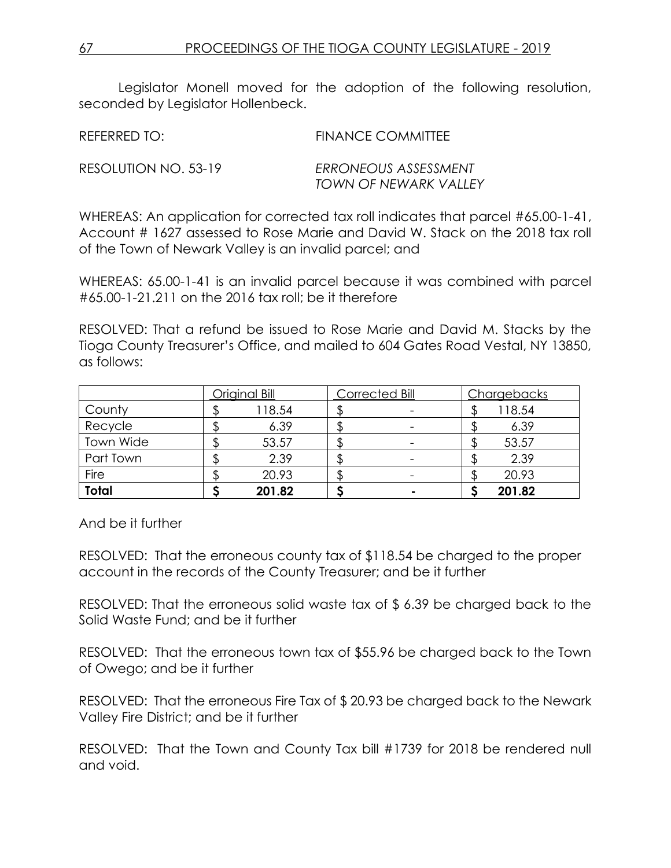Legislator Monell moved for the adoption of the following resolution, seconded by Legislator Hollenbeck.

| REFERRED TO:         | <b>FINANCE COMMITTEE</b>                      |
|----------------------|-----------------------------------------------|
| RESOLUTION NO. 53-19 | ERRONEOUS ASSESSMENT<br>TOWN OF NEWARK VALLEY |

WHEREAS: An application for corrected tax roll indicates that parcel #65.00-1-41, Account # 1627 assessed to Rose Marie and David W. Stack on the 2018 tax roll of the Town of Newark Valley is an invalid parcel; and

WHEREAS: 65.00-1-41 is an invalid parcel because it was combined with parcel #65.00-1-21.211 on the 2016 tax roll; be it therefore

RESOLVED: That a refund be issued to Rose Marie and David M. Stacks by the Tioga County Treasurer's Office, and mailed to 604 Gates Road Vestal, NY 13850, as follows:

|              | Original Bill | <b>Corrected Bill</b>    | Chargebacks |
|--------------|---------------|--------------------------|-------------|
| County       | 118.54        |                          | 118.54      |
| Recycle      | 6.39          |                          | 6.39        |
| Town Wide    | 53.57         |                          | 53.57       |
| Part Town    | 2.39          | $\overline{\phantom{a}}$ | 2.39        |
| Fire         | 20.93         |                          | 20.93       |
| <b>Total</b> | 201.82        |                          | 201.82      |

And be it further

RESOLVED: That the erroneous county tax of \$118.54 be charged to the proper account in the records of the County Treasurer; and be it further

RESOLVED: That the erroneous solid waste tax of \$ 6.39 be charged back to the Solid Waste Fund; and be it further

RESOLVED: That the erroneous town tax of \$55.96 be charged back to the Town of Owego; and be it further

RESOLVED: That the erroneous Fire Tax of \$ 20.93 be charged back to the Newark Valley Fire District; and be it further

RESOLVED: That the Town and County Tax bill #1739 for 2018 be rendered null and void.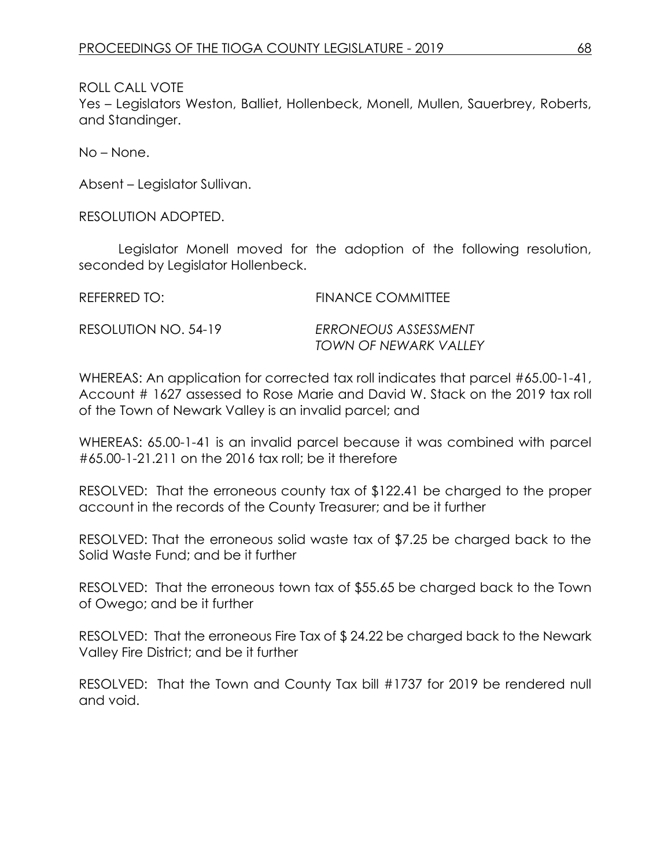ROLL CALL VOTE Yes – Legislators Weston, Balliet, Hollenbeck, Monell, Mullen, Sauerbrey, Roberts, and Standinger.

No – None.

Absent – Legislator Sullivan.

RESOLUTION ADOPTED.

Legislator Monell moved for the adoption of the following resolution, seconded by Legislator Hollenbeck.

REFERRED TO: FINANCE COMMITTEE RESOLUTION NO. 54-19 *ERRONEOUS ASSESSMENT*

*TOWN OF NEWARK VALLEY* 

WHEREAS: An application for corrected tax roll indicates that parcel #65.00-1-41, Account # 1627 assessed to Rose Marie and David W. Stack on the 2019 tax roll of the Town of Newark Valley is an invalid parcel; and

WHEREAS: 65.00-1-41 is an invalid parcel because it was combined with parcel #65.00-1-21.211 on the 2016 tax roll; be it therefore

RESOLVED: That the erroneous county tax of \$122.41 be charged to the proper account in the records of the County Treasurer; and be it further

RESOLVED: That the erroneous solid waste tax of \$7.25 be charged back to the Solid Waste Fund; and be it further

RESOLVED: That the erroneous town tax of \$55.65 be charged back to the Town of Owego; and be it further

RESOLVED: That the erroneous Fire Tax of \$ 24.22 be charged back to the Newark Valley Fire District; and be it further

RESOLVED: That the Town and County Tax bill #1737 for 2019 be rendered null and void.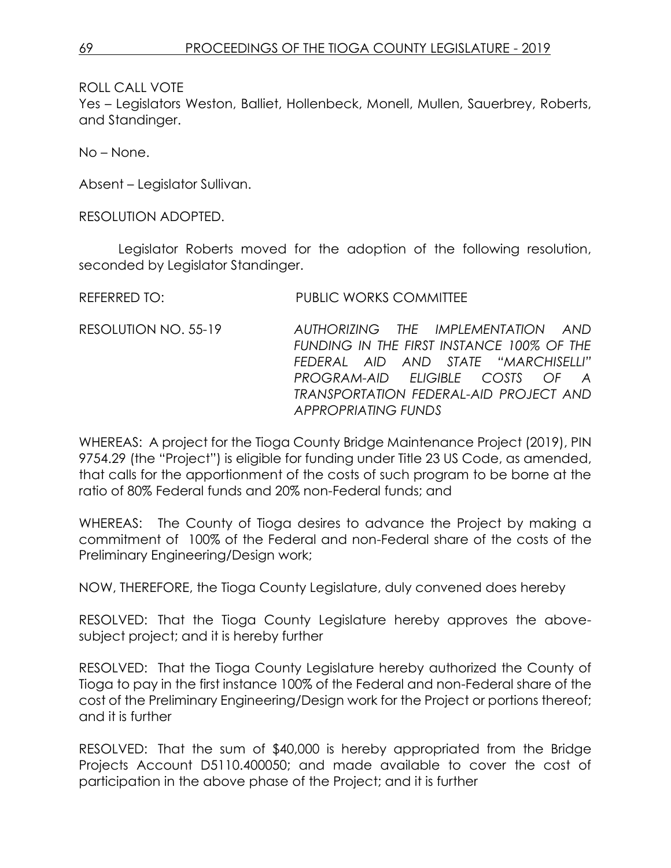Yes – Legislators Weston, Balliet, Hollenbeck, Monell, Mullen, Sauerbrey, Roberts, and Standinger.

No – None.

Absent – Legislator Sullivan.

RESOLUTION ADOPTED.

Legislator Roberts moved for the adoption of the following resolution, seconded by Legislator Standinger.

REFERRED TO: PUBLIC WORKS COMMITTEE

RESOLUTION NO. 55-19 *AUTHORIZING THE IMPLEMENTATION AND FUNDING IN THE FIRST INSTANCE 100% OF THE FEDERAL AID AND STATE "MARCHISELLI" PROGRAM-AID ELIGIBLE COSTS OF A TRANSPORTATION FEDERAL-AID PROJECT AND APPROPRIATING FUNDS*

WHEREAS: A project for the Tioga County Bridge Maintenance Project (2019), PIN 9754.29 (the "Project") is eligible for funding under Title 23 US Code, as amended, that calls for the apportionment of the costs of such program to be borne at the ratio of 80% Federal funds and 20% non-Federal funds; and

WHEREAS: The County of Tioga desires to advance the Project by making a commitment of 100% of the Federal and non-Federal share of the costs of the Preliminary Engineering/Design work;

NOW, THEREFORE, the Tioga County Legislature, duly convened does hereby

RESOLVED: That the Tioga County Legislature hereby approves the abovesubject project; and it is hereby further

RESOLVED: That the Tioga County Legislature hereby authorized the County of Tioga to pay in the first instance 100% of the Federal and non-Federal share of the cost of the Preliminary Engineering/Design work for the Project or portions thereof; and it is further

RESOLVED: That the sum of \$40,000 is hereby appropriated from the Bridge Projects Account D5110.400050; and made available to cover the cost of participation in the above phase of the Project; and it is further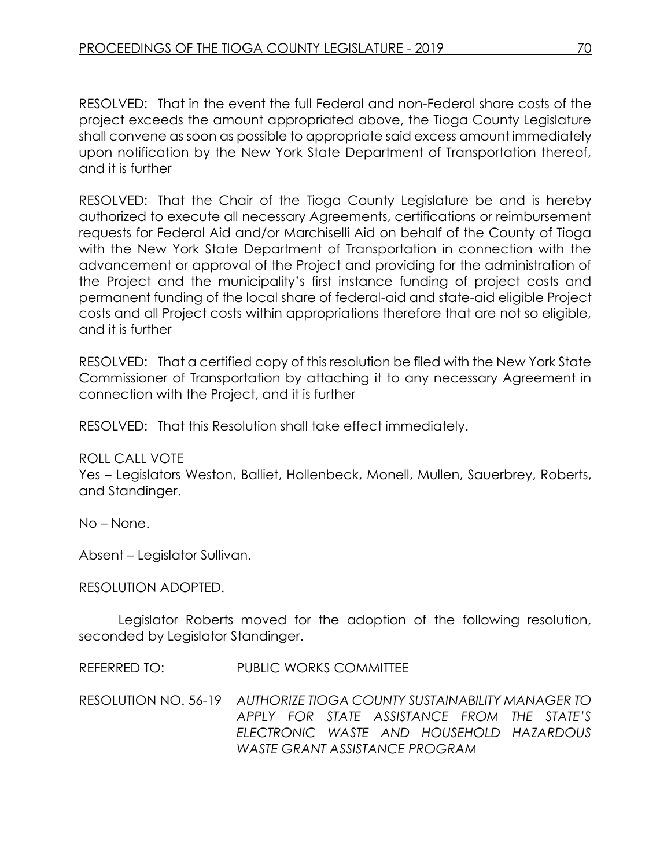RESOLVED: That in the event the full Federal and non-Federal share costs of the project exceeds the amount appropriated above, the Tioga County Legislature shall convene as soon as possible to appropriate said excess amount immediately upon notification by the New York State Department of Transportation thereof, and it is further

RESOLVED: That the Chair of the Tioga County Legislature be and is hereby authorized to execute all necessary Agreements, certifications or reimbursement requests for Federal Aid and/or Marchiselli Aid on behalf of the County of Tioga with the New York State Department of Transportation in connection with the advancement or approval of the Project and providing for the administration of the Project and the municipality's first instance funding of project costs and permanent funding of the local share of federal-aid and state-aid eligible Project costs and all Project costs within appropriations therefore that are not so eligible, and it is further

RESOLVED: That a certified copy of this resolution be filed with the New York State Commissioner of Transportation by attaching it to any necessary Agreement in connection with the Project, and it is further

RESOLVED: That this Resolution shall take effect immediately.

#### ROLL CALL VOTE

Yes – Legislators Weston, Balliet, Hollenbeck, Monell, Mullen, Sauerbrey, Roberts, and Standinger.

No – None.

Absent – Legislator Sullivan.

RESOLUTION ADOPTED.

Legislator Roberts moved for the adoption of the following resolution, seconded by Legislator Standinger.

REFERRED TO: PUBLIC WORKS COMMITTEE

RESOLUTION NO. 56-19 *AUTHORIZE TIOGA COUNTY SUSTAINABILITY MANAGER TO APPLY FOR STATE ASSISTANCE FROM THE STATE'S ELECTRONIC WASTE AND HOUSEHOLD HAZARDOUS WASTE GRANT ASSISTANCE PROGRAM*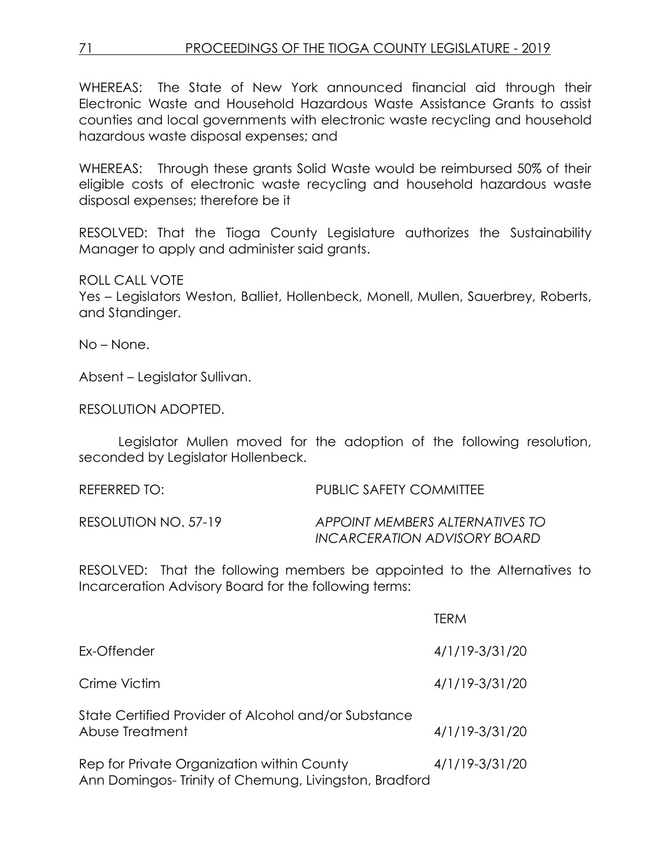WHEREAS: The State of New York announced financial aid through their Electronic Waste and Household Hazardous Waste Assistance Grants to assist counties and local governments with electronic waste recycling and household hazardous waste disposal expenses; and

WHEREAS: Through these grants Solid Waste would be reimbursed 50% of their eligible costs of electronic waste recycling and household hazardous waste disposal expenses; therefore be it

RESOLVED: That the Tioga County Legislature authorizes the Sustainability Manager to apply and administer said grants.

ROLL CALL VOTE Yes – Legislators Weston, Balliet, Hollenbeck, Monell, Mullen, Sauerbrey, Roberts, and Standinger.

No – None.

Absent – Legislator Sullivan.

RESOLUTION ADOPTED.

Legislator Mullen moved for the adoption of the following resolution, seconded by Legislator Hollenbeck.

| REFERRED TO:         | PUBLIC SAFETY COMMITTEE                                         |
|----------------------|-----------------------------------------------------------------|
| RESOLUTION NO. 57-19 | APPOINT MEMBERS ALTERNATIVES TO<br>INCARCERATION ADVISORY BOARD |

RESOLVED: That the following members be appointed to the Alternatives to Incarceration Advisory Board for the following terms:

|                                                                                                     | TERM           |
|-----------------------------------------------------------------------------------------------------|----------------|
| Ex-Offender                                                                                         | 4/1/19-3/31/20 |
| Crime Victim                                                                                        | 4/1/19-3/31/20 |
| State Certified Provider of Alcohol and/or Substance<br>Abuse Treatment                             | 4/1/19-3/31/20 |
| Rep for Private Organization within County<br>Ann Domingos-Trinity of Chemung, Livingston, Bradford | 4/1/19-3/31/20 |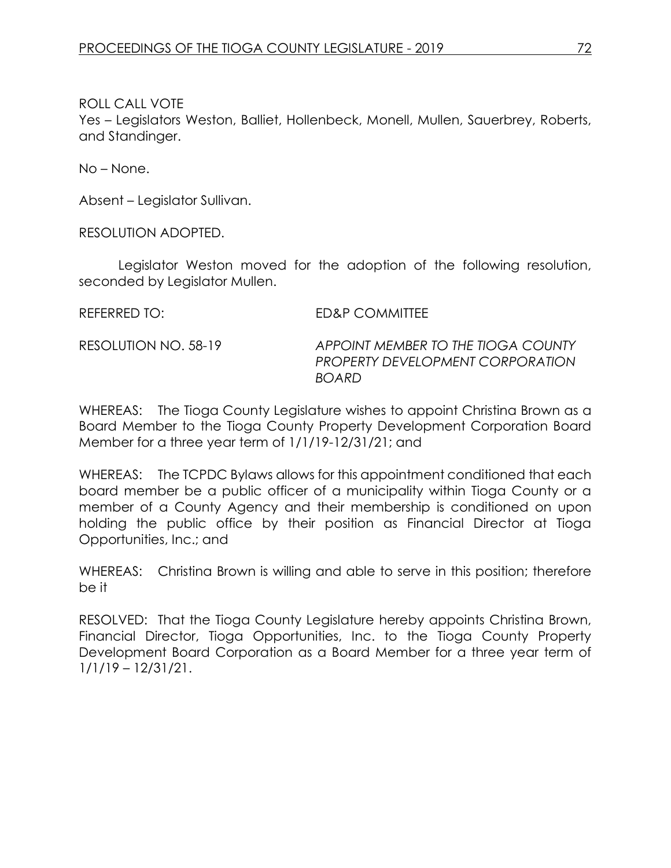Yes – Legislators Weston, Balliet, Hollenbeck, Monell, Mullen, Sauerbrey, Roberts, and Standinger.

No – None.

Absent – Legislator Sullivan.

RESOLUTION ADOPTED.

Legislator Weston moved for the adoption of the following resolution, seconded by Legislator Mullen.

REFERRED TO: ED&P COMMITTEE

RESOLUTION NO. 58-19 *APPOINT MEMBER TO THE TIOGA COUNTY PROPERTY DEVELOPMENT CORPORATION BOARD*

WHEREAS: The Tioga County Legislature wishes to appoint Christina Brown as a Board Member to the Tioga County Property Development Corporation Board Member for a three year term of 1/1/19-12/31/21; and

WHEREAS: The TCPDC Bylaws allows for this appointment conditioned that each board member be a public officer of a municipality within Tioga County or a member of a County Agency and their membership is conditioned on upon holding the public office by their position as Financial Director at Tioga Opportunities, Inc.; and

WHEREAS: Christina Brown is willing and able to serve in this position; therefore be it

RESOLVED: That the Tioga County Legislature hereby appoints Christina Brown, Financial Director, Tioga Opportunities, Inc. to the Tioga County Property Development Board Corporation as a Board Member for a three year term of 1/1/19 – 12/31/21.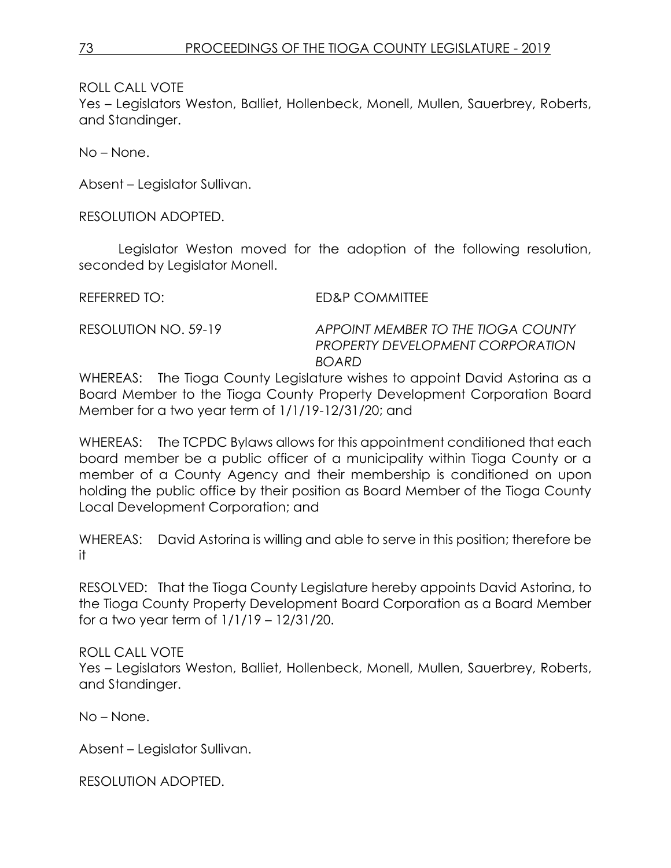Yes – Legislators Weston, Balliet, Hollenbeck, Monell, Mullen, Sauerbrey, Roberts, and Standinger.

No – None.

Absent – Legislator Sullivan.

RESOLUTION ADOPTED.

Legislator Weston moved for the adoption of the following resolution, seconded by Legislator Monell.

REFERRED TO: ED&P COMMITTEE

RESOLUTION NO. 59-19 *APPOINT MEMBER TO THE TIOGA COUNTY PROPERTY DEVELOPMENT CORPORATION BOARD*

WHEREAS: The Tioga County Legislature wishes to appoint David Astorina as a Board Member to the Tioga County Property Development Corporation Board Member for a two year term of 1/1/19-12/31/20; and

WHEREAS: The TCPDC Bylaws allows for this appointment conditioned that each board member be a public officer of a municipality within Tioga County or a member of a County Agency and their membership is conditioned on upon holding the public office by their position as Board Member of the Tioga County Local Development Corporation; and

WHEREAS: David Astorina is willing and able to serve in this position; therefore be it

RESOLVED: That the Tioga County Legislature hereby appoints David Astorina, to the Tioga County Property Development Board Corporation as a Board Member for a two year term of 1/1/19 – 12/31/20.

ROLL CALL VOTE

Yes – Legislators Weston, Balliet, Hollenbeck, Monell, Mullen, Sauerbrey, Roberts, and Standinger.

No – None.

Absent – Legislator Sullivan.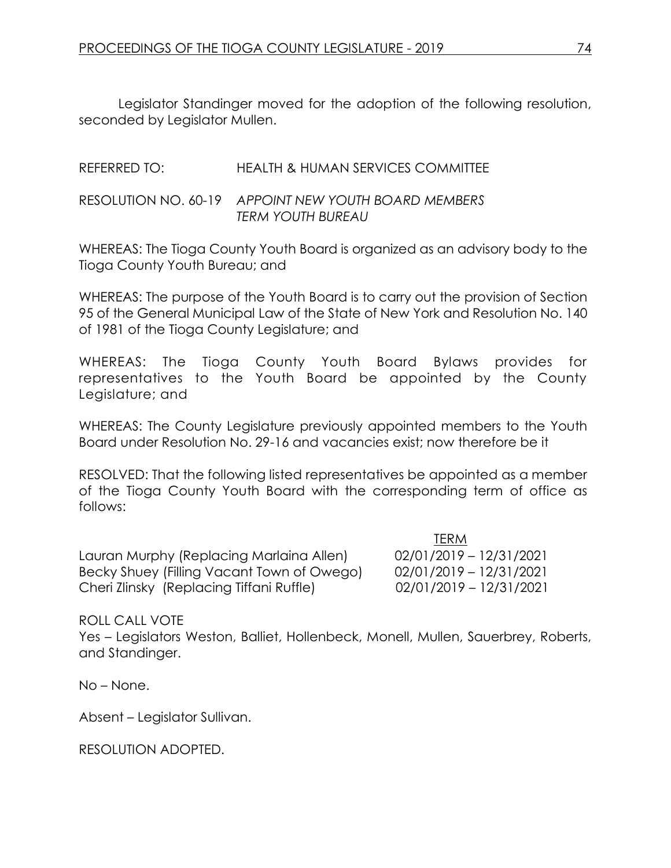Legislator Standinger moved for the adoption of the following resolution, seconded by Legislator Mullen.

REFERRED TO: HEALTH & HUMAN SERVICES COMMITTEE

RESOLUTION NO. 60-19 *APPOINT NEW YOUTH BOARD MEMBERS TERM YOUTH BUREAU*

WHEREAS: The Tioga County Youth Board is organized as an advisory body to the Tioga County Youth Bureau; and

WHEREAS: The purpose of the Youth Board is to carry out the provision of Section 95 of the General Municipal Law of the State of New York and Resolution No. 140 of 1981 of the Tioga County Legislature; and

WHEREAS: The Tioga County Youth Board Bylaws provides for representatives to the Youth Board be appointed by the County Legislature; and

WHEREAS: The County Legislature previously appointed members to the Youth Board under Resolution No. 29-16 and vacancies exist; now therefore be it

RESOLVED: That the following listed representatives be appointed as a member of the Tioga County Youth Board with the corresponding term of office as follows:

Lauran Murphy (Replacing Marlaina Allen) 02/01/2019 – 12/31/2021 Becky Shuey (Filling Vacant Town of Owego) 02/01/2019 – 12/31/2021 Cheri Zlinsky (Replacing Tiffani Ruffle) 02/01/2019 – 12/31/2021

TERM

ROLL CALL VOTE

Yes – Legislators Weston, Balliet, Hollenbeck, Monell, Mullen, Sauerbrey, Roberts, and Standinger.

No – None.

Absent – Legislator Sullivan.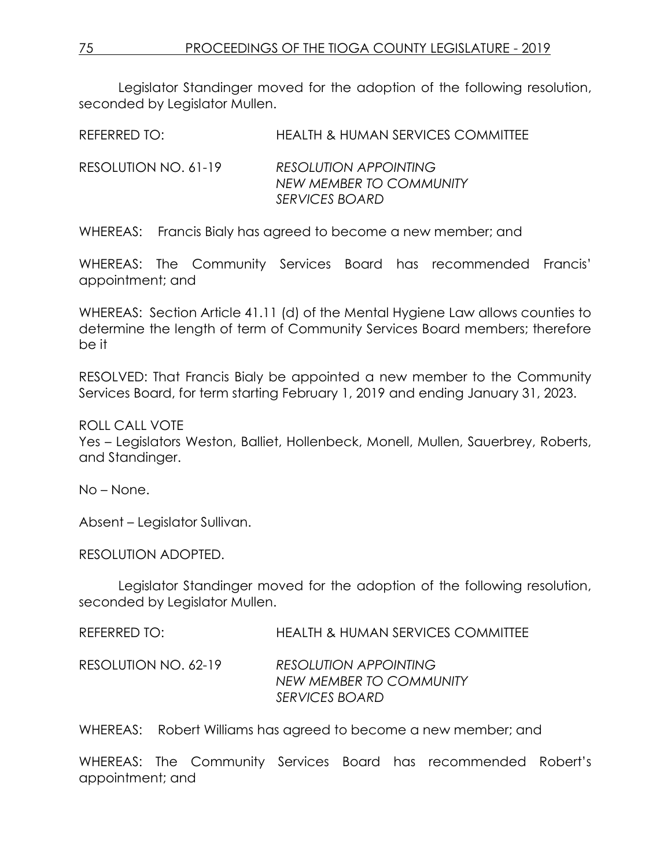Legislator Standinger moved for the adoption of the following resolution, seconded by Legislator Mullen.

REFERRED TO: HEALTH & HUMAN SERVICES COMMITTEE

RESOLUTION NO. 61-19 *RESOLUTION APPOINTING NEW MEMBER TO COMMUNITY SERVICES BOARD*

WHEREAS: Francis Bialy has agreed to become a new member; and

WHEREAS: The Community Services Board has recommended Francis' appointment; and

WHEREAS: Section Article 41.11 (d) of the Mental Hygiene Law allows counties to determine the length of term of Community Services Board members; therefore be it

RESOLVED: That Francis Bialy be appointed a new member to the Community Services Board, for term starting February 1, 2019 and ending January 31, 2023.

### ROLL CALL VOTE

Yes – Legislators Weston, Balliet, Hollenbeck, Monell, Mullen, Sauerbrey, Roberts, and Standinger.

No – None.

Absent – Legislator Sullivan.

RESOLUTION ADOPTED.

Legislator Standinger moved for the adoption of the following resolution, seconded by Legislator Mullen.

| REFERRED TO:         | <b>HEALTH &amp; HUMAN SERVICES COMMITTEE</b>                              |
|----------------------|---------------------------------------------------------------------------|
| RESOLUTION NO. 62-19 | <b>RESOLUTION APPOINTING</b><br>NEW MEMBER TO COMMUNITY<br>SERVICES BOARD |

WHEREAS: Robert Williams has agreed to become a new member; and

WHEREAS: The Community Services Board has recommended Robert's appointment; and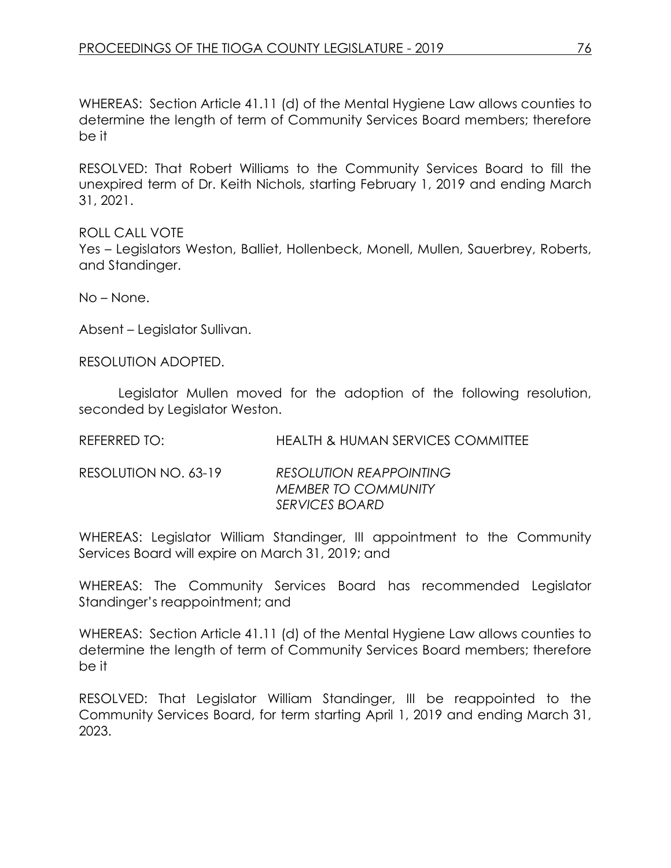WHEREAS: Section Article 41.11 (d) of the Mental Hygiene Law allows counties to determine the length of term of Community Services Board members; therefore be it

RESOLVED: That Robert Williams to the Community Services Board to fill the unexpired term of Dr. Keith Nichols, starting February 1, 2019 and ending March 31, 2021.

ROLL CALL VOTE Yes – Legislators Weston, Balliet, Hollenbeck, Monell, Mullen, Sauerbrey, Roberts, and Standinger.

No – None.

Absent – Legislator Sullivan.

RESOLUTION ADOPTED.

Legislator Mullen moved for the adoption of the following resolution, seconded by Legislator Weston.

REFERRED TO: HEALTH & HUMAN SERVICES COMMITTEE

RESOLUTION NO. 63-19 *RESOLUTION REAPPOINTING MEMBER TO COMMUNITY SERVICES BOARD*

WHEREAS: Legislator William Standinger, III appointment to the Community Services Board will expire on March 31, 2019; and

WHEREAS: The Community Services Board has recommended Legislator Standinger's reappointment; and

WHEREAS: Section Article 41.11 (d) of the Mental Hygiene Law allows counties to determine the length of term of Community Services Board members; therefore be it

RESOLVED: That Legislator William Standinger, III be reappointed to the Community Services Board, for term starting April 1, 2019 and ending March 31, 2023.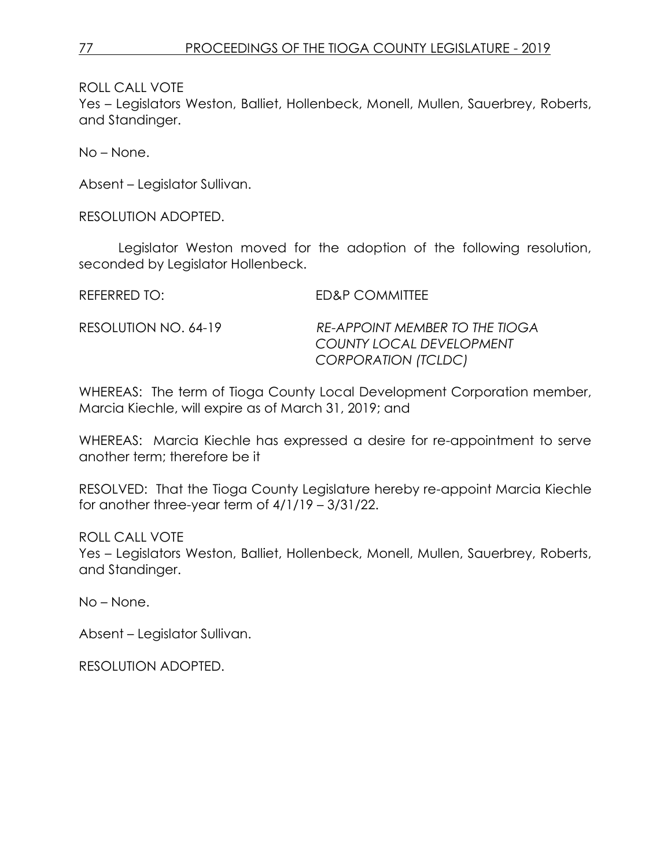Yes – Legislators Weston, Balliet, Hollenbeck, Monell, Mullen, Sauerbrey, Roberts, and Standinger.

No – None.

Absent – Legislator Sullivan.

RESOLUTION ADOPTED.

Legislator Weston moved for the adoption of the following resolution, seconded by Legislator Hollenbeck.

REFERRED TO: ED&P COMMITTEE

RESOLUTION NO. 64-19 *RE-APPOINT MEMBER TO THE TIOGA COUNTY LOCAL DEVELOPMENT CORPORATION (TCLDC)*

WHEREAS: The term of Tioga County Local Development Corporation member, Marcia Kiechle, will expire as of March 31, 2019; and

WHEREAS: Marcia Kiechle has expressed a desire for re-appointment to serve another term; therefore be it

RESOLVED: That the Tioga County Legislature hereby re-appoint Marcia Kiechle for another three-year term of 4/1/19 – 3/31/22.

ROLL CALL VOTE

Yes – Legislators Weston, Balliet, Hollenbeck, Monell, Mullen, Sauerbrey, Roberts, and Standinger.

No – None.

Absent – Legislator Sullivan.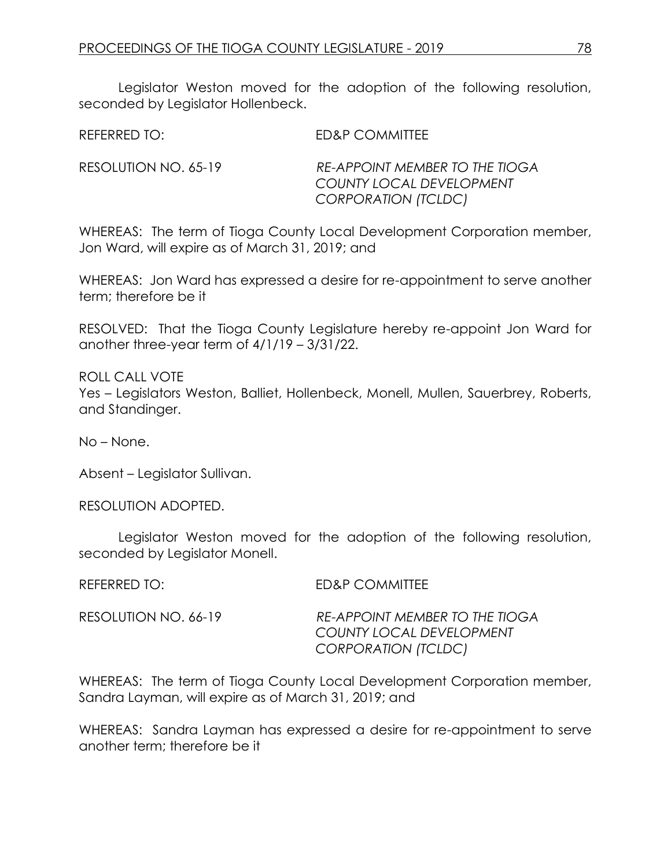Legislator Weston moved for the adoption of the following resolution, seconded by Legislator Hollenbeck.

REFERRED TO: ED&P COMMITTEE

RESOLUTION NO. 65-19 *RE-APPOINT MEMBER TO THE TIOGA COUNTY LOCAL DEVELOPMENT CORPORATION (TCLDC)*

WHEREAS: The term of Tioga County Local Development Corporation member, Jon Ward, will expire as of March 31, 2019; and

WHEREAS: Jon Ward has expressed a desire for re-appointment to serve another term; therefore be it

RESOLVED: That the Tioga County Legislature hereby re-appoint Jon Ward for another three-year term of 4/1/19 – 3/31/22.

ROLL CALL VOTE Yes – Legislators Weston, Balliet, Hollenbeck, Monell, Mullen, Sauerbrey, Roberts, and Standinger.

No – None.

Absent – Legislator Sullivan.

RESOLUTION ADOPTED.

Legislator Weston moved for the adoption of the following resolution, seconded by Legislator Monell.

REFERRED TO: ED&P COMMITTEE

RESOLUTION NO. 66-19 *RE-APPOINT MEMBER TO THE TIOGA COUNTY LOCAL DEVELOPMENT CORPORATION (TCLDC)*

WHEREAS: The term of Tioga County Local Development Corporation member, Sandra Layman, will expire as of March 31, 2019; and

WHEREAS: Sandra Layman has expressed a desire for re-appointment to serve another term; therefore be it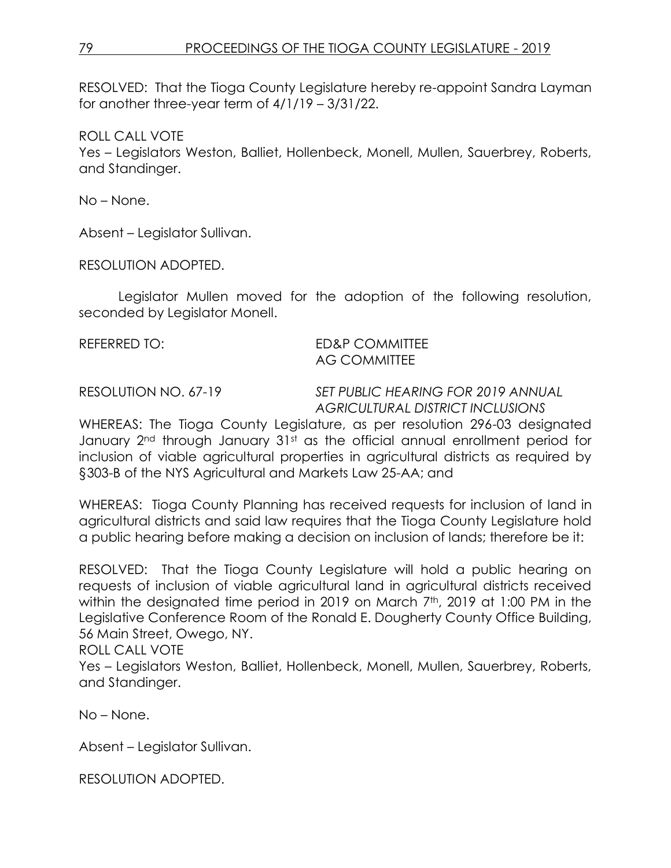RESOLVED: That the Tioga County Legislature hereby re-appoint Sandra Layman for another three-year term of 4/1/19 – 3/31/22.

ROLL CALL VOTE

Yes – Legislators Weston, Balliet, Hollenbeck, Monell, Mullen, Sauerbrey, Roberts, and Standinger.

No – None.

Absent – Legislator Sullivan.

RESOLUTION ADOPTED.

Legislator Mullen moved for the adoption of the following resolution, seconded by Legislator Monell.

#### REFERRED TO: ED&P COMMITTEE AG COMMITTEE

RESOLUTION NO. 67-19 *SET PUBLIC HEARING FOR 2019 ANNUAL AGRICULTURAL DISTRICT INCLUSIONS*

WHEREAS: The Tioga County Legislature, as per resolution 296-03 designated January 2<sup>nd</sup> through January 31st as the official annual enrollment period for inclusion of viable agricultural properties in agricultural districts as required by §303-B of the NYS Agricultural and Markets Law 25-AA; and

WHEREAS: Tioga County Planning has received requests for inclusion of land in agricultural districts and said law requires that the Tioga County Legislature hold a public hearing before making a decision on inclusion of lands; therefore be it:

RESOLVED: That the Tioga County Legislature will hold a public hearing on requests of inclusion of viable agricultural land in agricultural districts received within the designated time period in 2019 on March 7<sup>th</sup>, 2019 at 1:00 PM in the Legislative Conference Room of the Ronald E. Dougherty County Office Building, 56 Main Street, Owego, NY.

ROLL CALL VOTE

Yes – Legislators Weston, Balliet, Hollenbeck, Monell, Mullen, Sauerbrey, Roberts, and Standinger.

No – None.

Absent – Legislator Sullivan.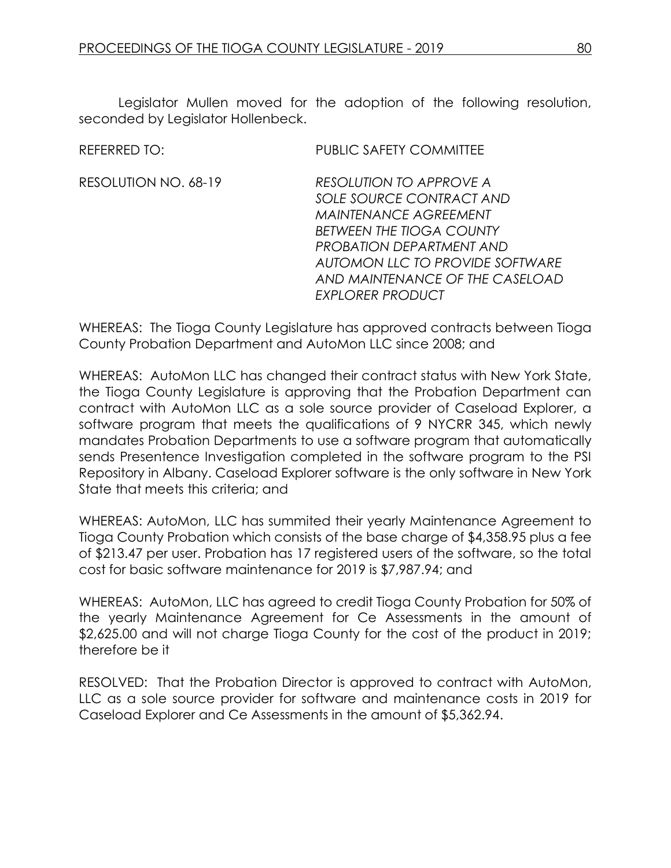Legislator Mullen moved for the adoption of the following resolution, seconded by Legislator Hollenbeck.

RESOLUTION NO. 68-19 *RESOLUTION TO APPROVE A SOLE SOURCE CONTRACT AND MAINTENANCE AGREEMENT BETWEEN THE TIOGA COUNTY PROBATION DEPARTMENT AND AUTOMON LLC TO PROVIDE SOFTWARE AND MAINTENANCE OF THE CASELOAD EXPLORER PRODUCT*

WHEREAS: The Tioga County Legislature has approved contracts between Tioga County Probation Department and AutoMon LLC since 2008; and

WHEREAS: AutoMon LLC has changed their contract status with New York State, the Tioga County Legislature is approving that the Probation Department can contract with AutoMon LLC as a sole source provider of Caseload Explorer, a software program that meets the qualifications of 9 NYCRR 345, which newly mandates Probation Departments to use a software program that automatically sends Presentence Investigation completed in the software program to the PSI Repository in Albany. Caseload Explorer software is the only software in New York State that meets this criteria; and

WHEREAS: AutoMon, LLC has summited their yearly Maintenance Agreement to Tioga County Probation which consists of the base charge of \$4,358.95 plus a fee of \$213.47 per user. Probation has 17 registered users of the software, so the total cost for basic software maintenance for 2019 is \$7,987.94; and

WHEREAS: AutoMon, LLC has agreed to credit Tioga County Probation for 50% of the yearly Maintenance Agreement for Ce Assessments in the amount of \$2,625.00 and will not charge Tioga County for the cost of the product in 2019; therefore be it

RESOLVED: That the Probation Director is approved to contract with AutoMon, LLC as a sole source provider for software and maintenance costs in 2019 for Caseload Explorer and Ce Assessments in the amount of \$5,362.94.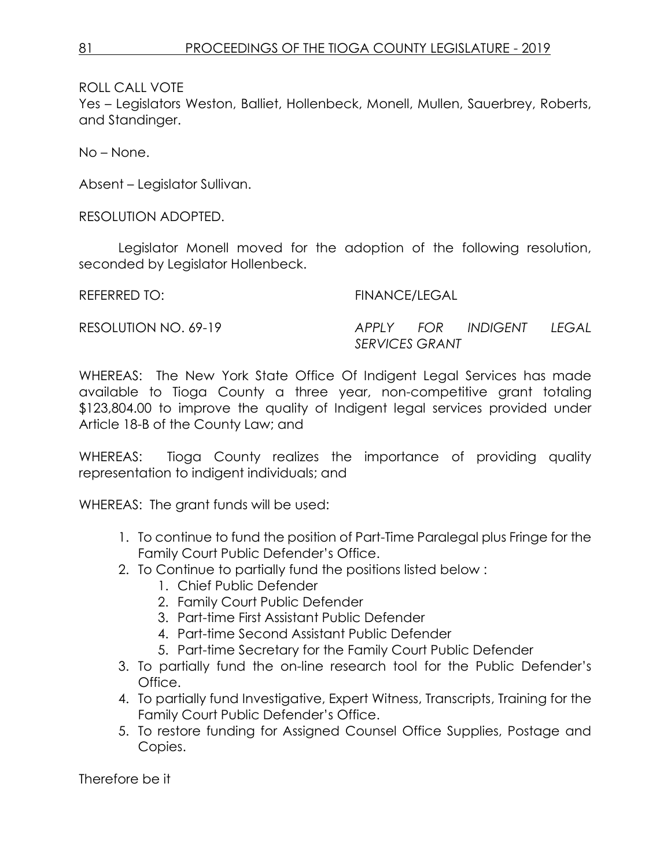Yes – Legislators Weston, Balliet, Hollenbeck, Monell, Mullen, Sauerbrey, Roberts, and Standinger.

No – None.

Absent – Legislator Sullivan.

RESOLUTION ADOPTED.

Legislator Monell moved for the adoption of the following resolution, seconded by Legislator Hollenbeck.

REFERRED TO: FINANCE/LEGAL

RESOLUTION NO. 69-19 *APPLY FOR INDIGENT LEGAL SERVICES GRANT*

WHEREAS: The New York State Office Of Indigent Legal Services has made available to Tioga County a three year, non-competitive grant totaling \$123,804.00 to improve the quality of Indigent legal services provided under Article 18-B of the County Law; and

WHEREAS: Tioga County realizes the importance of providing quality representation to indigent individuals; and

WHEREAS: The grant funds will be used:

- 1. To continue to fund the position of Part-Time Paralegal plus Fringe for the Family Court Public Defender's Office.
- 2. To Continue to partially fund the positions listed below :
	- 1. Chief Public Defender
	- 2. Family Court Public Defender
	- 3. Part-time First Assistant Public Defender
	- 4. Part-time Second Assistant Public Defender
	- 5. Part-time Secretary for the Family Court Public Defender
- 3. To partially fund the on-line research tool for the Public Defender's Office.
- 4. To partially fund Investigative, Expert Witness, Transcripts, Training for the Family Court Public Defender's Office.
- 5. To restore funding for Assigned Counsel Office Supplies, Postage and Copies.

Therefore be it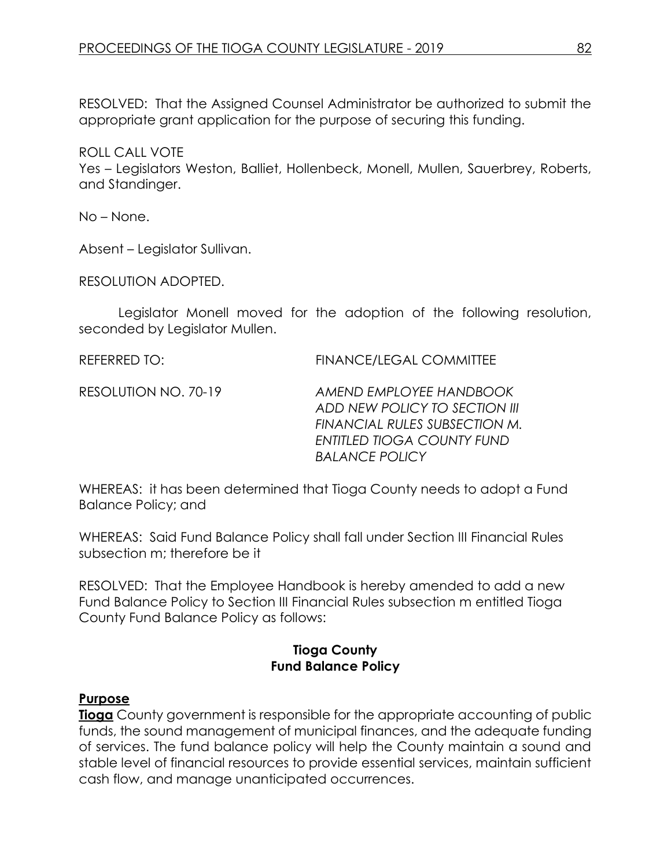RESOLVED: That the Assigned Counsel Administrator be authorized to submit the appropriate grant application for the purpose of securing this funding.

ROLL CALL VOTE

Yes – Legislators Weston, Balliet, Hollenbeck, Monell, Mullen, Sauerbrey, Roberts, and Standinger.

No – None.

Absent – Legislator Sullivan.

RESOLUTION ADOPTED.

Legislator Monell moved for the adoption of the following resolution, seconded by Legislator Mullen.

REFERRED TO: FINANCE/LEGAL COMMITTEE

RESOLUTION NO. 70-19 *AMEND EMPLOYEE HANDBOOK ADD NEW POLICY TO SECTION III FINANCIAL RULES SUBSECTION M. ENTITLED TIOGA COUNTY FUND BALANCE POLICY*

WHEREAS: it has been determined that Tioga County needs to adopt a Fund Balance Policy; and

WHEREAS: Said Fund Balance Policy shall fall under Section III Financial Rules subsection m; therefore be it

RESOLVED: That the Employee Handbook is hereby amended to add a new Fund Balance Policy to Section III Financial Rules subsection m entitled Tioga County Fund Balance Policy as follows:

### **Tioga County Fund Balance Policy**

### **Purpose**

**Tioga** County government is responsible for the appropriate accounting of public funds, the sound management of municipal finances, and the adequate funding of services. The fund balance policy will help the County maintain a sound and stable level of financial resources to provide essential services, maintain sufficient cash flow, and manage unanticipated occurrences.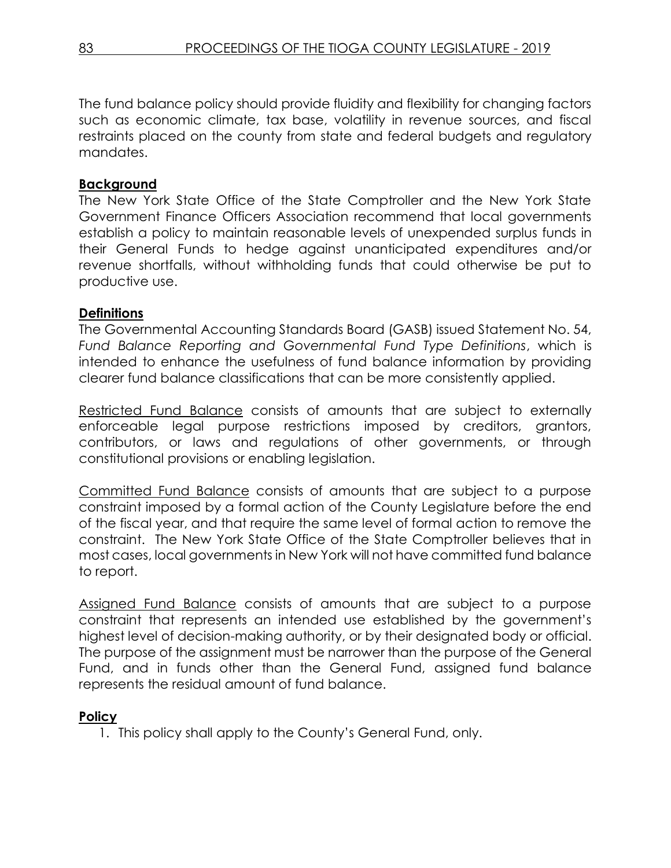The fund balance policy should provide fluidity and flexibility for changing factors such as economic climate, tax base, volatility in revenue sources, and fiscal restraints placed on the county from state and federal budgets and regulatory mandates.

## **Background**

The New York State Office of the State Comptroller and the New York State Government Finance Officers Association recommend that local governments establish a policy to maintain reasonable levels of unexpended surplus funds in their General Funds to hedge against unanticipated expenditures and/or revenue shortfalls, without withholding funds that could otherwise be put to productive use.

## **Definitions**

The Governmental Accounting Standards Board (GASB) issued Statement No. 54, *Fund Balance Reporting and Governmental Fund Type Definitions*, which is intended to enhance the usefulness of fund balance information by providing clearer fund balance classifications that can be more consistently applied.

Restricted Fund Balance consists of amounts that are subject to externally enforceable legal purpose restrictions imposed by creditors, grantors, contributors, or laws and regulations of other governments, or through constitutional provisions or enabling legislation.

Committed Fund Balance consists of amounts that are subject to a purpose constraint imposed by a formal action of the County Legislature before the end of the fiscal year, and that require the same level of formal action to remove the constraint. The New York State Office of the State Comptroller believes that in most cases, local governments in New York will not have committed fund balance to report.

Assigned Fund Balance consists of amounts that are subject to a purpose constraint that represents an intended use established by the government's highest level of decision-making authority, or by their designated body or official. The purpose of the assignment must be narrower than the purpose of the General Fund, and in funds other than the General Fund, assigned fund balance represents the residual amount of fund balance.

## **Policy**

1. This policy shall apply to the County's General Fund, only.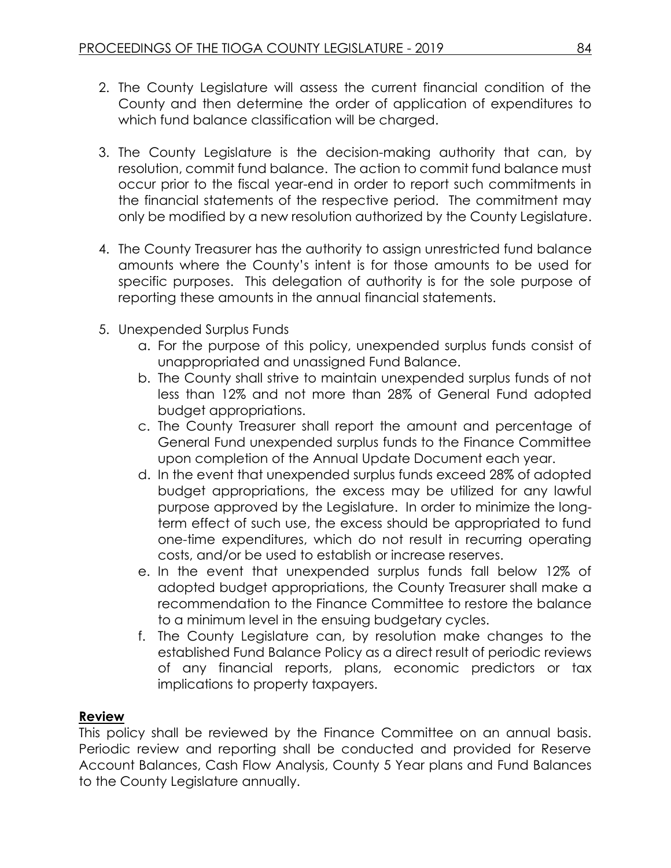- 2. The County Legislature will assess the current financial condition of the County and then determine the order of application of expenditures to which fund balance classification will be charged.
- 3. The County Legislature is the decision-making authority that can, by resolution, commit fund balance. The action to commit fund balance must occur prior to the fiscal year-end in order to report such commitments in the financial statements of the respective period. The commitment may only be modified by a new resolution authorized by the County Legislature.
- 4. The County Treasurer has the authority to assign unrestricted fund balance amounts where the County's intent is for those amounts to be used for specific purposes. This delegation of authority is for the sole purpose of reporting these amounts in the annual financial statements.
- 5. Unexpended Surplus Funds
	- a. For the purpose of this policy, unexpended surplus funds consist of unappropriated and unassigned Fund Balance.
	- b. The County shall strive to maintain unexpended surplus funds of not less than 12% and not more than 28% of General Fund adopted budget appropriations.
	- c. The County Treasurer shall report the amount and percentage of General Fund unexpended surplus funds to the Finance Committee upon completion of the Annual Update Document each year.
	- d. In the event that unexpended surplus funds exceed 28% of adopted budget appropriations, the excess may be utilized for any lawful purpose approved by the Legislature. In order to minimize the longterm effect of such use, the excess should be appropriated to fund one-time expenditures, which do not result in recurring operating costs, and/or be used to establish or increase reserves.
	- e. In the event that unexpended surplus funds fall below 12% of adopted budget appropriations, the County Treasurer shall make a recommendation to the Finance Committee to restore the balance to a minimum level in the ensuing budgetary cycles.
	- f. The County Legislature can, by resolution make changes to the established Fund Balance Policy as a direct result of periodic reviews of any financial reports, plans, economic predictors or tax implications to property taxpayers.

## **Review**

This policy shall be reviewed by the Finance Committee on an annual basis. Periodic review and reporting shall be conducted and provided for Reserve Account Balances, Cash Flow Analysis, County 5 Year plans and Fund Balances to the County Legislature annually.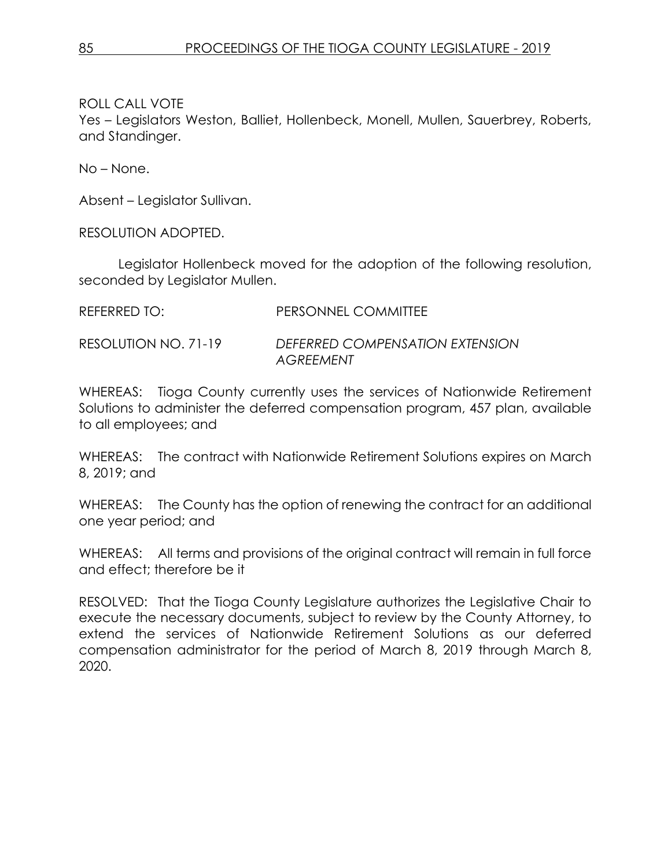Yes – Legislators Weston, Balliet, Hollenbeck, Monell, Mullen, Sauerbrey, Roberts, and Standinger.

No – None.

Absent – Legislator Sullivan.

RESOLUTION ADOPTED.

Legislator Hollenbeck moved for the adoption of the following resolution, seconded by Legislator Mullen.

| REFERRED TO:         | PERSONNEL COMMITTEE                                 |
|----------------------|-----------------------------------------------------|
| RESOLUTION NO. 71-19 | DEFERRED COMPENSATION EXTENSION<br><b>AGREEMENT</b> |

WHEREAS: Tioga County currently uses the services of Nationwide Retirement Solutions to administer the deferred compensation program, 457 plan, available to all employees; and

WHEREAS: The contract with Nationwide Retirement Solutions expires on March 8, 2019; and

WHEREAS: The County has the option of renewing the contract for an additional one year period; and

WHEREAS: All terms and provisions of the original contract will remain in full force and effect; therefore be it

RESOLVED: That the Tioga County Legislature authorizes the Legislative Chair to execute the necessary documents, subject to review by the County Attorney, to extend the services of Nationwide Retirement Solutions as our deferred compensation administrator for the period of March 8, 2019 through March 8, 2020.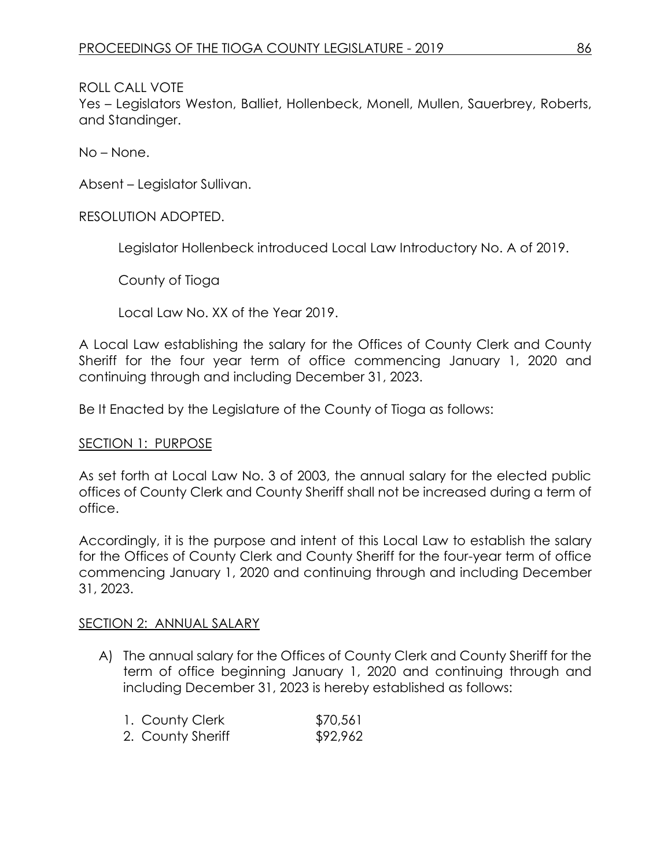Yes – Legislators Weston, Balliet, Hollenbeck, Monell, Mullen, Sauerbrey, Roberts, and Standinger.

No – None.

Absent – Legislator Sullivan.

### RESOLUTION ADOPTED.

Legislator Hollenbeck introduced Local Law Introductory No. A of 2019.

County of Tioga

Local Law No. XX of the Year 2019.

A Local Law establishing the salary for the Offices of County Clerk and County Sheriff for the four year term of office commencing January 1, 2020 and continuing through and including December 31, 2023.

Be It Enacted by the Legislature of the County of Tioga as follows:

#### SECTION 1: PURPOSE

As set forth at Local Law No. 3 of 2003, the annual salary for the elected public offices of County Clerk and County Sheriff shall not be increased during a term of office.

Accordingly, it is the purpose and intent of this Local Law to establish the salary for the Offices of County Clerk and County Sheriff for the four-year term of office commencing January 1, 2020 and continuing through and including December 31, 2023.

#### SECTION 2: ANNUAL SALARY

A) The annual salary for the Offices of County Clerk and County Sheriff for the term of office beginning January 1, 2020 and continuing through and including December 31, 2023 is hereby established as follows:

| 1. County Clerk   | \$70,561 |
|-------------------|----------|
| 2. County Sheriff | \$92,962 |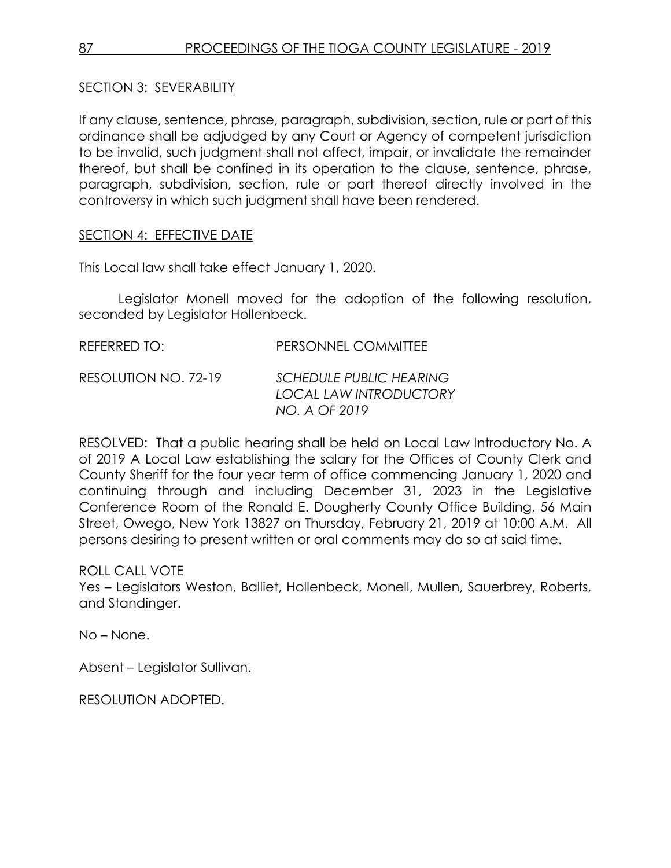## SECTION 3: SEVERABILITY

If any clause, sentence, phrase, paragraph, subdivision, section, rule or part of this ordinance shall be adjudged by any Court or Agency of competent jurisdiction to be invalid, such judgment shall not affect, impair, or invalidate the remainder thereof, but shall be confined in its operation to the clause, sentence, phrase, paragraph, subdivision, section, rule or part thereof directly involved in the controversy in which such judgment shall have been rendered.

### SECTION 4: EFFECTIVE DATE

This Local law shall take effect January 1, 2020.

Legislator Monell moved for the adoption of the following resolution, seconded by Legislator Hollenbeck.

| REFERRED TO:         | PERSONNEL COMMITTEE                                                              |
|----------------------|----------------------------------------------------------------------------------|
| RESOLUTION NO. 72-19 | <b>SCHEDULE PUBLIC HEARING</b><br><b>LOCAL LAW INTRODUCTORY</b><br>NO. A OF 2019 |

RESOLVED: That a public hearing shall be held on Local Law Introductory No. A of 2019 A Local Law establishing the salary for the Offices of County Clerk and County Sheriff for the four year term of office commencing January 1, 2020 and continuing through and including December 31, 2023 in the Legislative Conference Room of the Ronald E. Dougherty County Office Building, 56 Main Street, Owego, New York 13827 on Thursday, February 21, 2019 at 10:00 A.M. All persons desiring to present written or oral comments may do so at said time.

ROLL CALL VOTE

Yes – Legislators Weston, Balliet, Hollenbeck, Monell, Mullen, Sauerbrey, Roberts, and Standinger.

No – None.

Absent – Legislator Sullivan.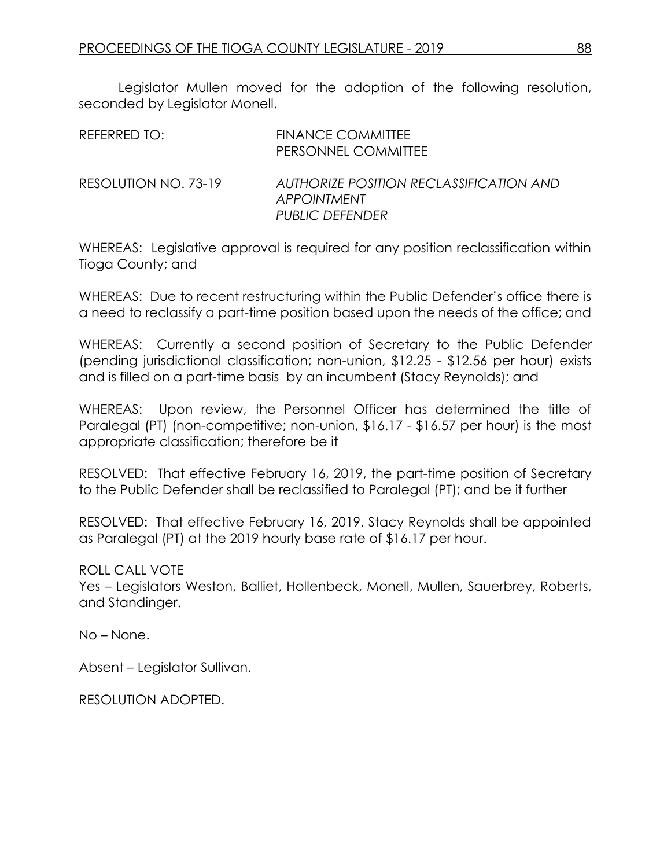Legislator Mullen moved for the adoption of the following resolution, seconded by Legislator Monell.

| REFERRED TO:         | <b>FINANCE COMMITTEE</b><br>PERSONNEL COMMITTEE                                         |
|----------------------|-----------------------------------------------------------------------------------------|
| RESOLUTION NO. 73-19 | AUTHORIZE POSITION RECLASSIFICATION AND<br><b>APPOINTMENT</b><br><b>PUBLIC DEFENDER</b> |

WHEREAS: Legislative approval is required for any position reclassification within Tioga County; and

WHEREAS: Due to recent restructuring within the Public Defender's office there is a need to reclassify a part-time position based upon the needs of the office; and

WHEREAS: Currently a second position of Secretary to the Public Defender (pending jurisdictional classification; non-union, \$12.25 - \$12.56 per hour) exists and is filled on a part-time basis by an incumbent (Stacy Reynolds); and

WHEREAS: Upon review, the Personnel Officer has determined the title of Paralegal (PT) (non-competitive; non-union, \$16.17 - \$16.57 per hour) is the most appropriate classification; therefore be it

RESOLVED: That effective February 16, 2019, the part-time position of Secretary to the Public Defender shall be reclassified to Paralegal (PT); and be it further

RESOLVED: That effective February 16, 2019, Stacy Reynolds shall be appointed as Paralegal (PT) at the 2019 hourly base rate of \$16.17 per hour.

### ROLL CALL VOTE

Yes – Legislators Weston, Balliet, Hollenbeck, Monell, Mullen, Sauerbrey, Roberts, and Standinger.

No – None.

Absent – Legislator Sullivan.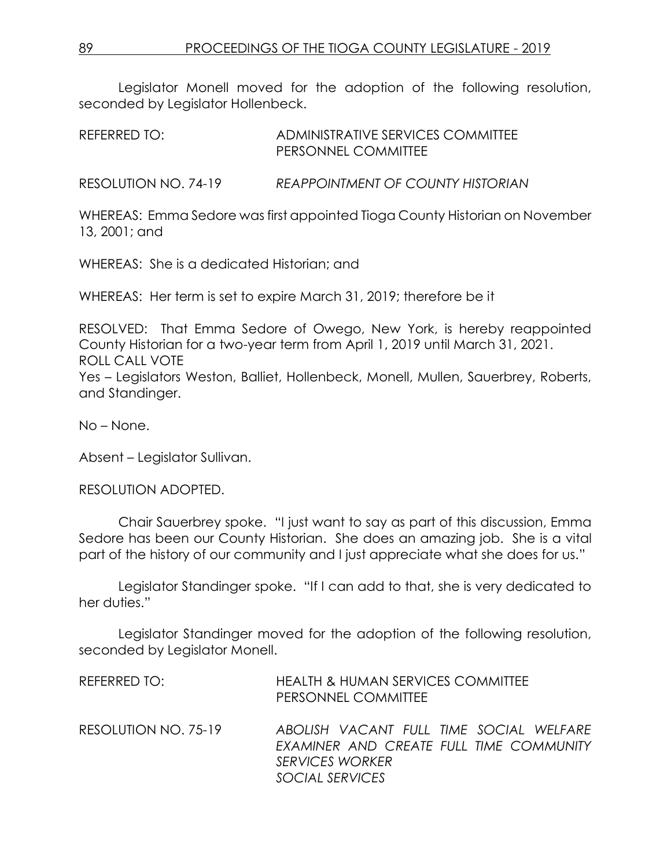Legislator Monell moved for the adoption of the following resolution, seconded by Legislator Hollenbeck.

REFERRED TO: ADMINISTRATIVE SERVICES COMMITTEE PERSONNEL COMMITTEE

RESOLUTION NO. 74-19 *REAPPOINTMENT OF COUNTY HISTORIAN*

WHEREAS: Emma Sedore was first appointed Tioga County Historian on November 13, 2001; and

WHEREAS: She is a dedicated Historian; and

WHEREAS: Her term is set to expire March 31, 2019; therefore be it

RESOLVED: That Emma Sedore of Owego, New York, is hereby reappointed County Historian for a two-year term from April 1, 2019 until March 31, 2021. ROLL CALL VOTE Yes – Legislators Weston, Balliet, Hollenbeck, Monell, Mullen, Sauerbrey, Roberts, and Standinger.

No – None.

Absent – Legislator Sullivan.

RESOLUTION ADOPTED.

Chair Sauerbrey spoke. "I just want to say as part of this discussion, Emma Sedore has been our County Historian. She does an amazing job. She is a vital part of the history of our community and I just appreciate what she does for us."

Legislator Standinger spoke. "If I can add to that, she is very dedicated to her duties."

Legislator Standinger moved for the adoption of the following resolution, seconded by Legislator Monell.

| REFERRED TO:         | <b>HEALTH &amp; HUMAN SERVICES COMMITTEE</b><br>PERSONNEL COMMITTEE                                                             |
|----------------------|---------------------------------------------------------------------------------------------------------------------------------|
| RESOLUTION NO. 75-19 | ABOLISH VACANT FULL TIME SOCIAL WELFARE<br>EXAMINER AND CREATE FULL TIME COMMUNITY<br><b>SERVICES WORKER</b><br>SOCIAL SERVICES |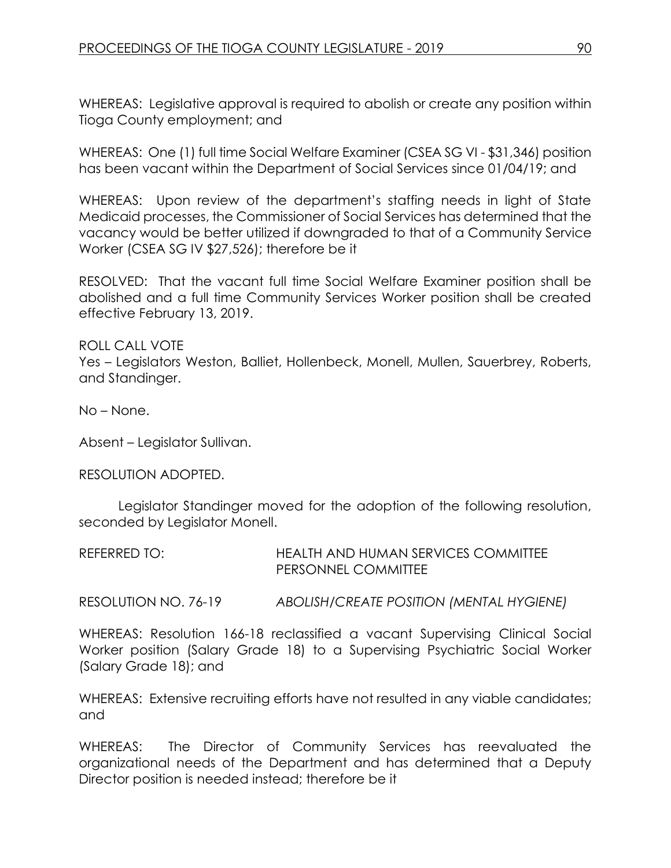WHEREAS: Legislative approval is required to abolish or create any position within Tioga County employment; and

WHEREAS: One (1) full time Social Welfare Examiner (CSEA SG VI - \$31,346) position has been vacant within the Department of Social Services since 01/04/19; and

WHEREAS: Upon review of the department's staffing needs in light of State Medicaid processes, the Commissioner of Social Services has determined that the vacancy would be better utilized if downgraded to that of a Community Service Worker (CSEA SG IV \$27,526); therefore be it

RESOLVED: That the vacant full time Social Welfare Examiner position shall be abolished and a full time Community Services Worker position shall be created effective February 13, 2019.

ROLL CALL VOTE Yes – Legislators Weston, Balliet, Hollenbeck, Monell, Mullen, Sauerbrey, Roberts, and Standinger.

No – None.

Absent – Legislator Sullivan.

RESOLUTION ADOPTED.

Legislator Standinger moved for the adoption of the following resolution, seconded by Legislator Monell.

REFERRED TO: HEALTH AND HUMAN SERVICES COMMITTEE PERSONNEL COMMITTEE

RESOLUTION NO. 76-19 *ABOLISH/CREATE POSITION (MENTAL HYGIENE)*

WHEREAS: Resolution 166-18 reclassified a vacant Supervising Clinical Social Worker position (Salary Grade 18) to a Supervising Psychiatric Social Worker (Salary Grade 18); and

WHEREAS: Extensive recruiting efforts have not resulted in any viable candidates; and

WHEREAS: The Director of Community Services has reevaluated the organizational needs of the Department and has determined that a Deputy Director position is needed instead; therefore be it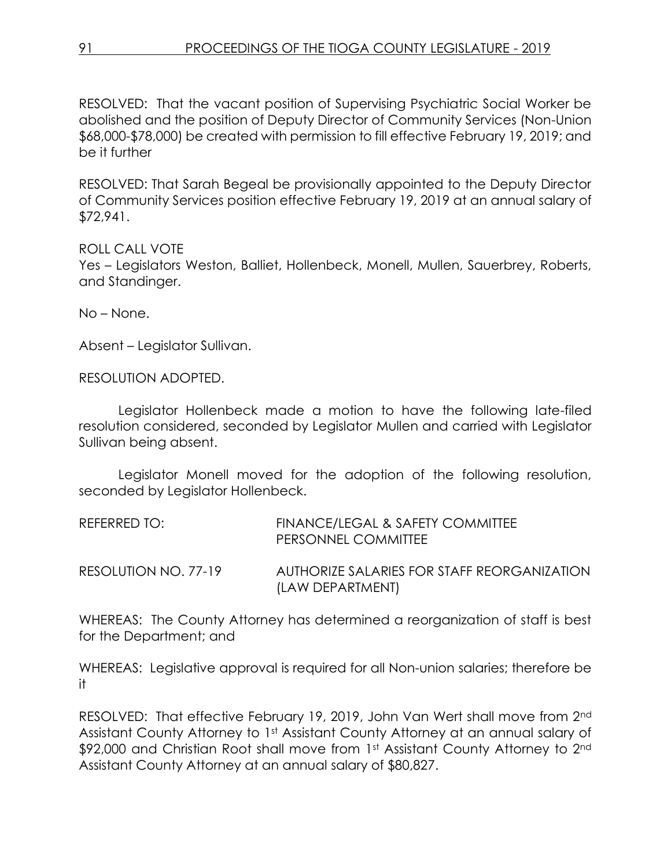RESOLVED: That the vacant position of Supervising Psychiatric Social Worker be abolished and the position of Deputy Director of Community Services (Non-Union \$68,000-\$78,000) be created with permission to fill effective February 19, 2019; and be it further

RESOLVED: That Sarah Begeal be provisionally appointed to the Deputy Director of Community Services position effective February 19, 2019 at an annual salary of \$72,941.

ROLL CALL VOTE Yes – Legislators Weston, Balliet, Hollenbeck, Monell, Mullen, Sauerbrey, Roberts, and Standinger.

No – None.

Absent – Legislator Sullivan.

RESOLUTION ADOPTED.

Legislator Hollenbeck made a motion to have the following late-filed resolution considered, seconded by Legislator Mullen and carried with Legislator Sullivan being absent.

Legislator Monell moved for the adoption of the following resolution, seconded by Legislator Hollenbeck.

| REFERRED TO:         | FINANCE/LEGAL & SAFETY COMMITTEE<br>PERSONNEL COMMITTEE         |
|----------------------|-----------------------------------------------------------------|
| RESOLUTION NO. 77-19 | AUTHORIZE SALARIES FOR STAFF REORGANIZATION<br>(LAW DEPARTMENT) |

WHEREAS: The County Attorney has determined a reorganization of staff is best for the Department; and

WHEREAS: Legislative approval is required for all Non-union salaries; therefore be it

RESOLVED: That effective February 19, 2019, John Van Wert shall move from 2nd Assistant County Attorney to 1st Assistant County Attorney at an annual salary of \$92,000 and Christian Root shall move from 1st Assistant County Attorney to 2nd Assistant County Attorney at an annual salary of \$80,827.